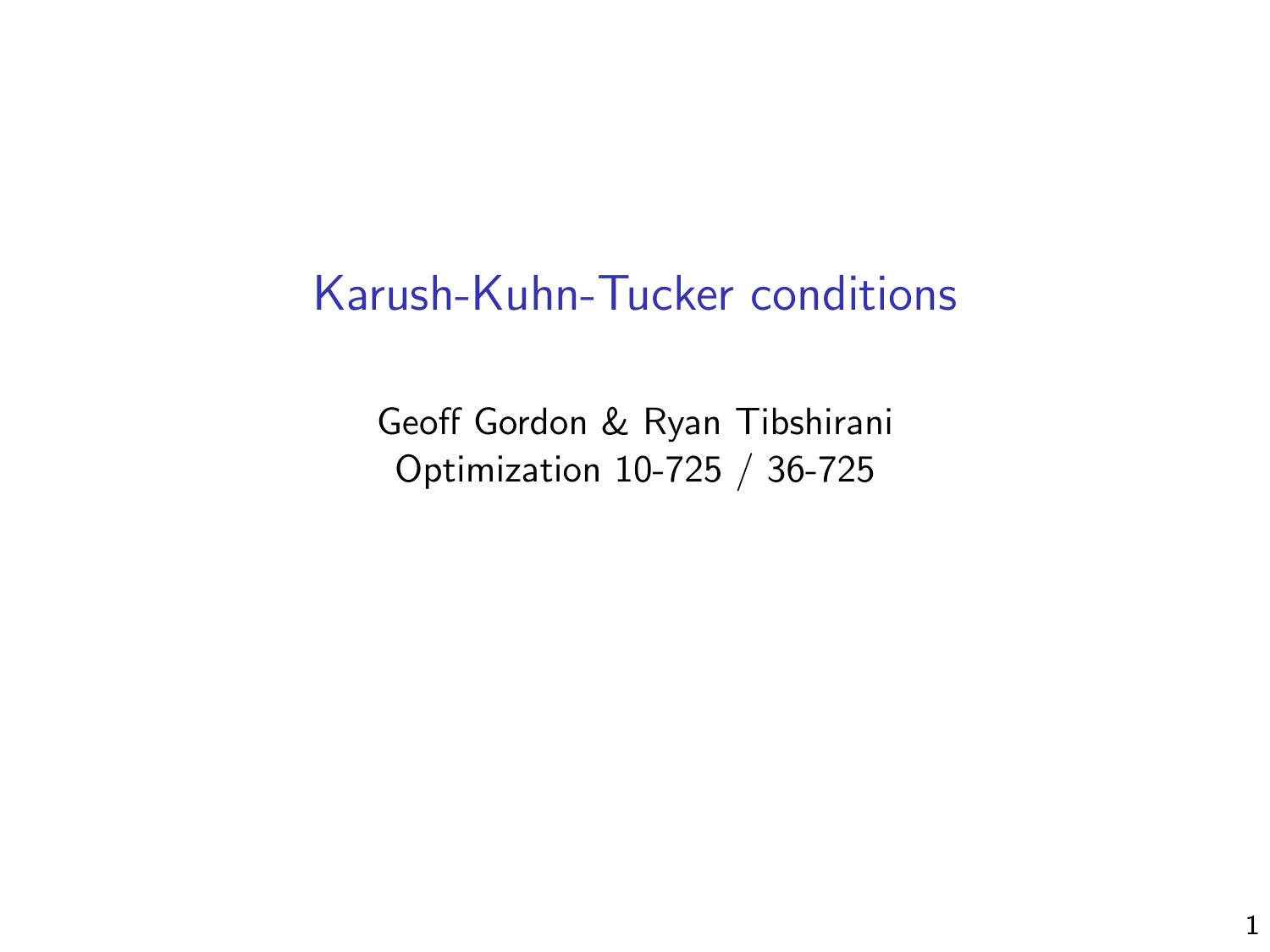## Karush-Kuhn-Tucker conditions

Geoff Gordon & Ryan Tibshirani Optimization 10-725 / 36-725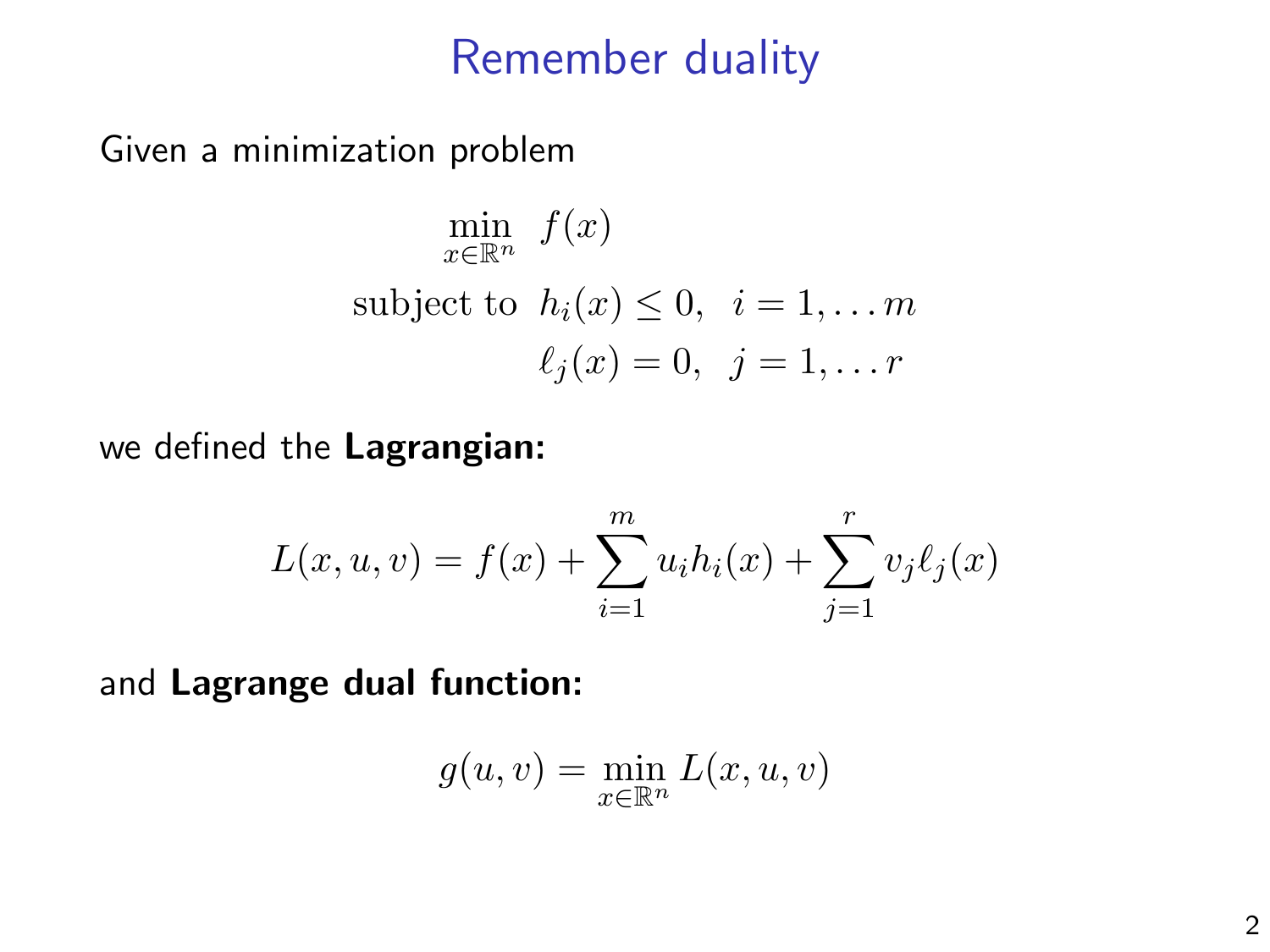#### Remember duality

Given a minimization problem

$$
\min_{x \in \mathbb{R}^n} f(x)
$$
  
subject to  $h_i(x) \le 0, i = 1, \dots m$   
 $\ell_j(x) = 0, j = 1, \dots r$ 

we defined the Lagrangian:

$$
L(x, u, v) = f(x) + \sum_{i=1}^{m} u_i h_i(x) + \sum_{j=1}^{r} v_j \ell_j(x)
$$

and Lagrange dual function:

$$
g(u, v) = \min_{x \in \mathbb{R}^n} L(x, u, v)
$$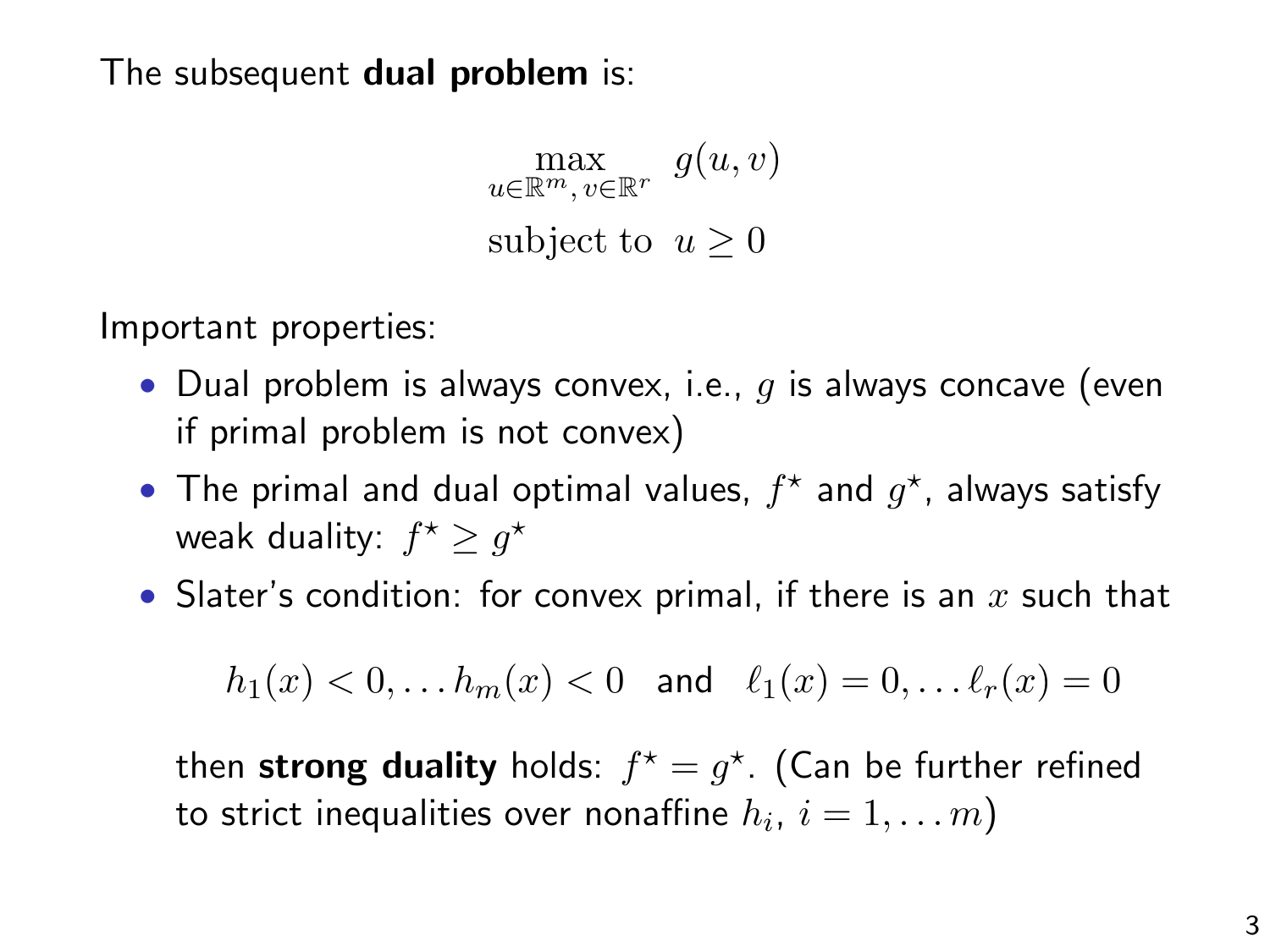The subsequent dual problem is:

 $\max_{u \in \mathbb{R}^m, v \in \mathbb{R}^r} g(u, v)$ subject to  $u > 0$ 

Important properties:

- Dual problem is always convex, i.e.,  $q$  is always concave (even if primal problem is not convex)
- The primal and dual optimal values,  $f^*$  and  $g^*$ , always satisfy weak duality:  $f^{\star} \geq g^{\star}$
- Slater's condition: for convex primal, if there is an  $x$  such that

$$
h_1(x) < 0, \dots h_m(x) < 0 \text{ and } \ell_1(x) = 0, \dots \ell_r(x) = 0
$$

then strong duality holds:  $f^* = g^*$ . (Can be further refined to strict inequalities over nonaffine  $h_i,\,i=1,\ldots m)$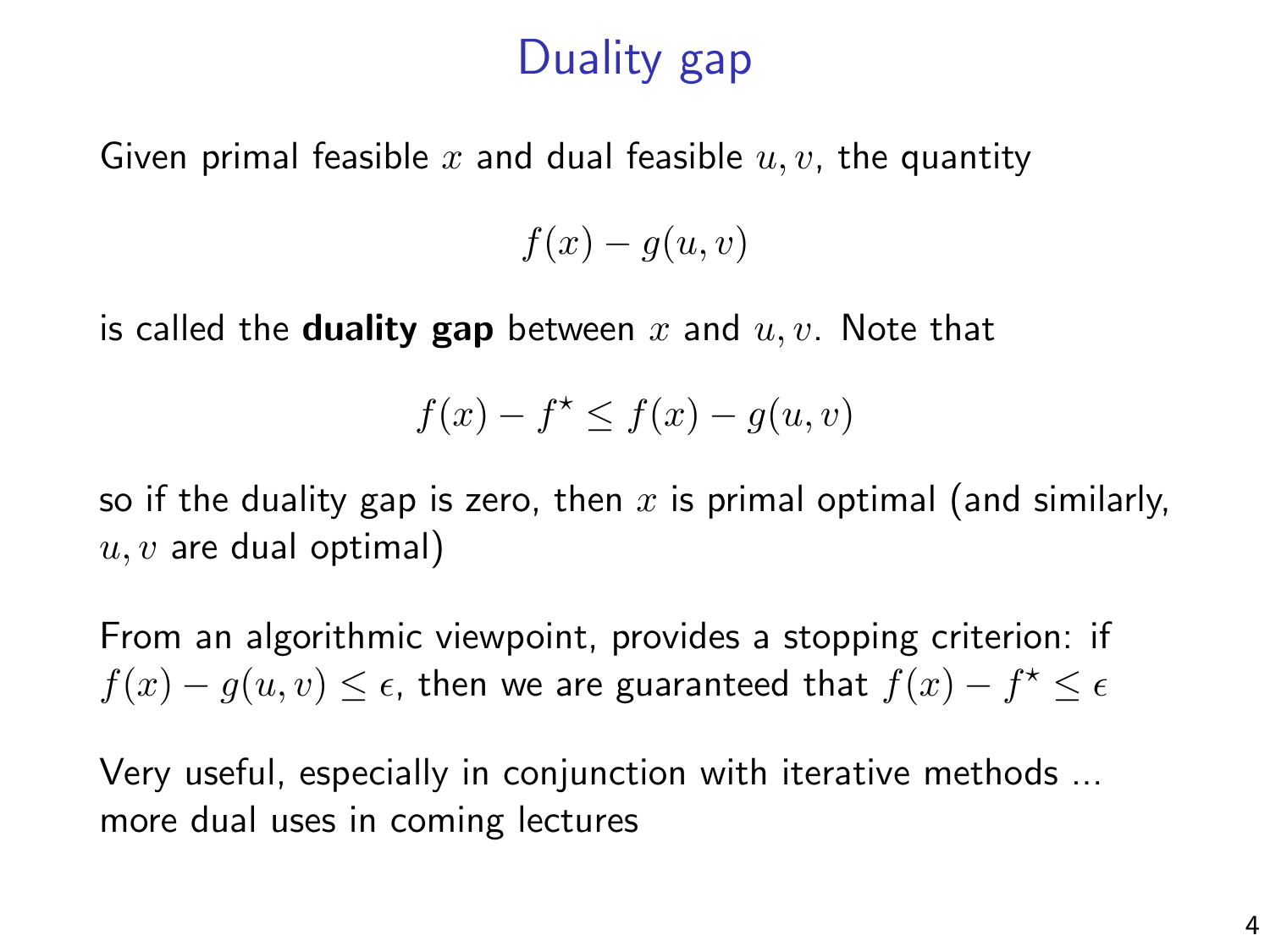# Duality gap

Given primal feasible x and dual feasible  $u, v$ , the quantity

 $f(x) - g(u, v)$ 

is called the **duality gap** between x and  $u, v$ . Note that

$$
f(x) - f^* \le f(x) - g(u, v)
$$

so if the duality gap is zero, then x is primal optimal (and similarly,  $u, v$  are dual optimal)

From an algorithmic viewpoint, provides a stopping criterion: if  $f(x) - g(u, v) \leq \epsilon$ , then we are guaranteed that  $f(x) - f^{\star} \leq \epsilon$ 

Very useful, especially in conjunction with iterative methods ... more dual uses in coming lectures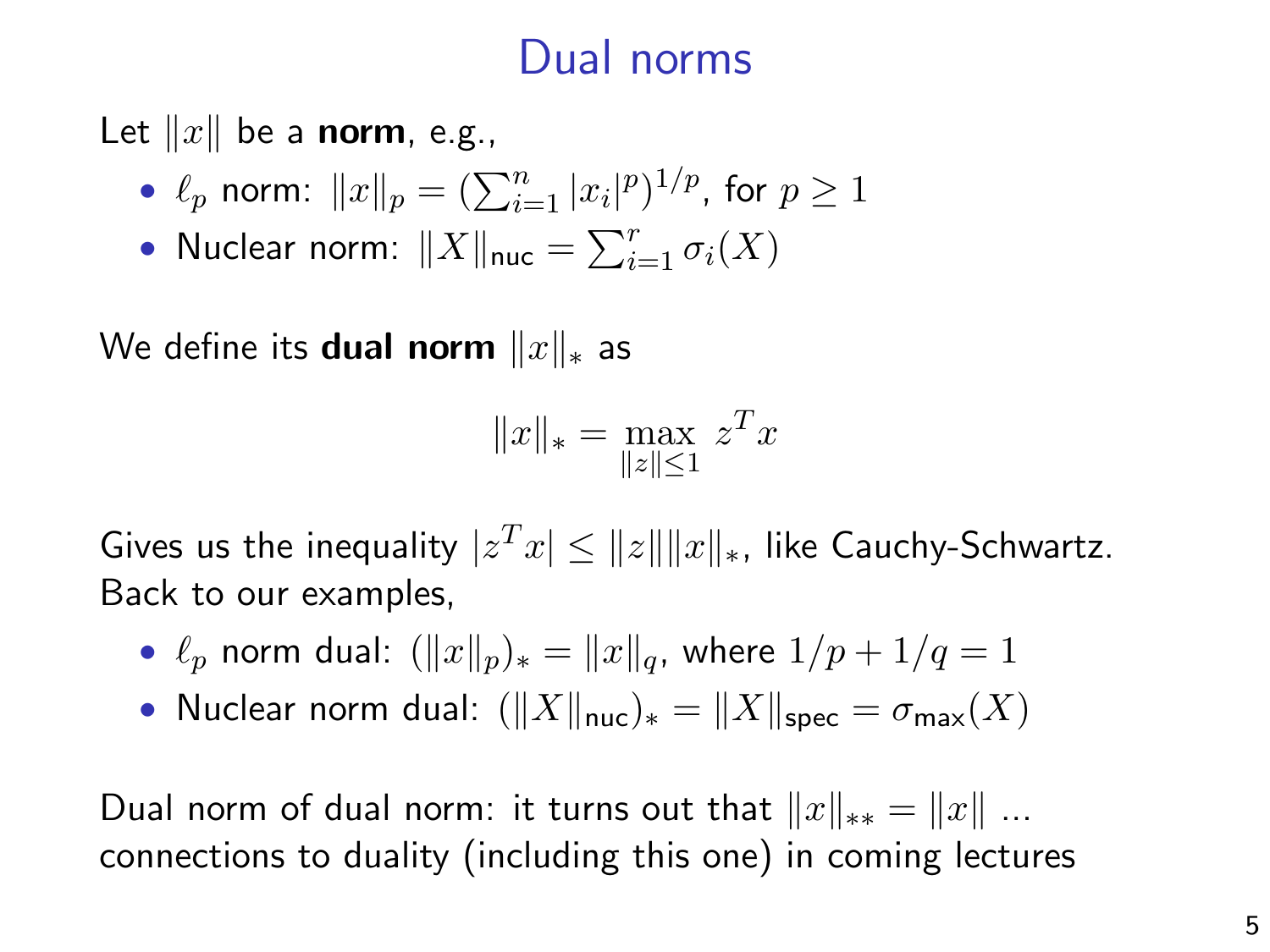# Dual norms

Let  $||x||$  be a norm, e.g.,

• 
$$
\ell_p
$$
 norm:  $||x||_p = (\sum_{i=1}^n |x_i|^p)^{1/p}$ , for  $p \ge 1$ 

• Nuclear norm:  $\|X\|_{\textsf{nuc}} = \sum_{i=1}^r \sigma_i(X)$ 

We define its **dual norm**  $||x||_*$  as

$$
||x||_* = \max_{||z|| \le 1} z^T x
$$

Gives us the inequality  $|z^Tx| \leq \|z\| \|x\|_*$ , like Cauchy-Schwartz. Back to our examples,

- $\ell_p$  norm dual:  $(\|x\|_p)_* = \|x\|_q$ , where  $1/p + 1/q = 1$
- Nuclear norm dual:  $(\|X\|_{\text{nuc}})_* = \|X\|_{\text{nenc}} = \sigma_{\text{max}}(X)$

Dual norm of dual norm: it turns out that  $||x||_{**} = ||x||$  ... connections to duality (including this one) in coming lectures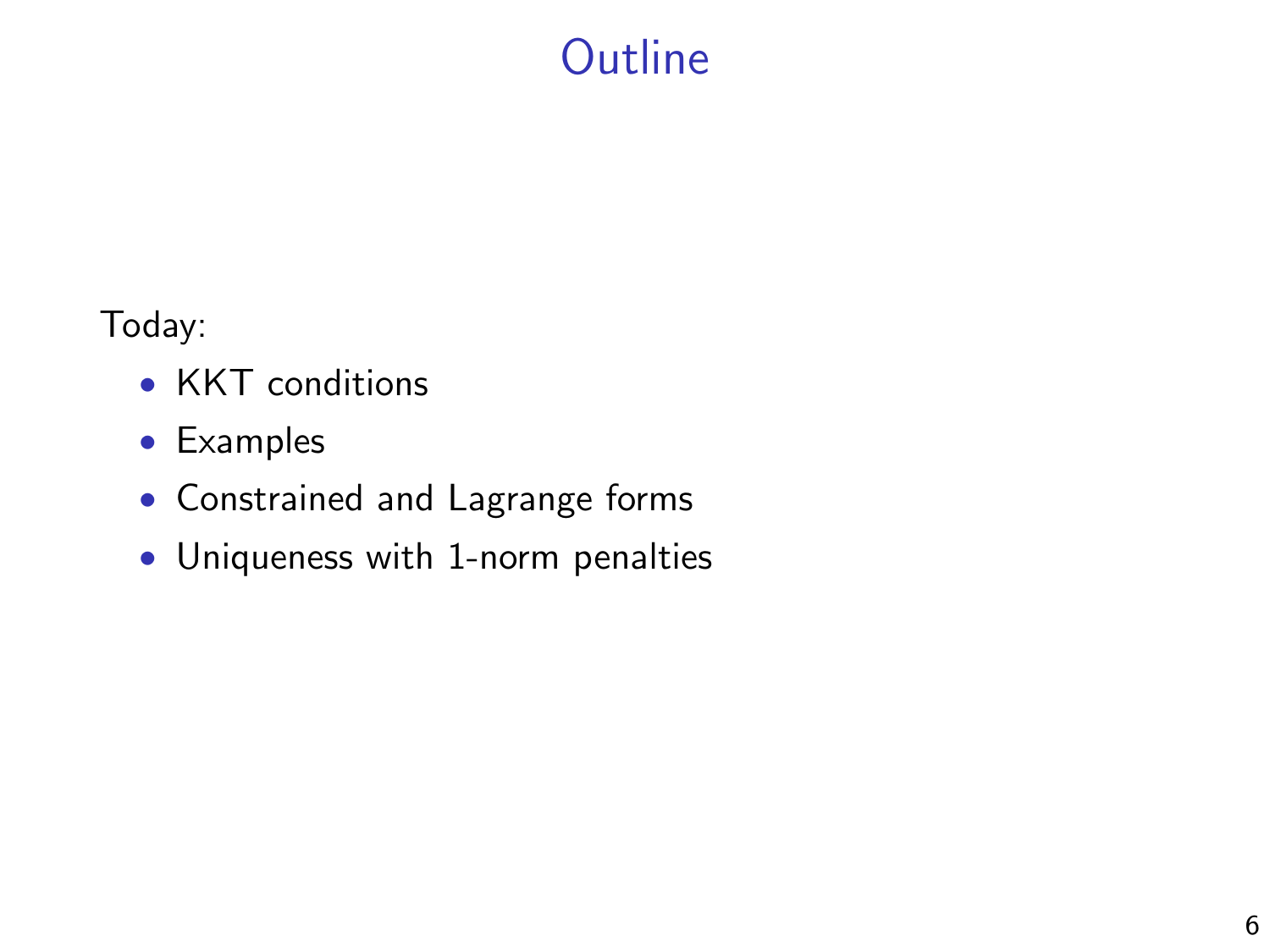# **Outline**

Today:

- KKT conditions
- Examples
- Constrained and Lagrange forms
- Uniqueness with 1-norm penalties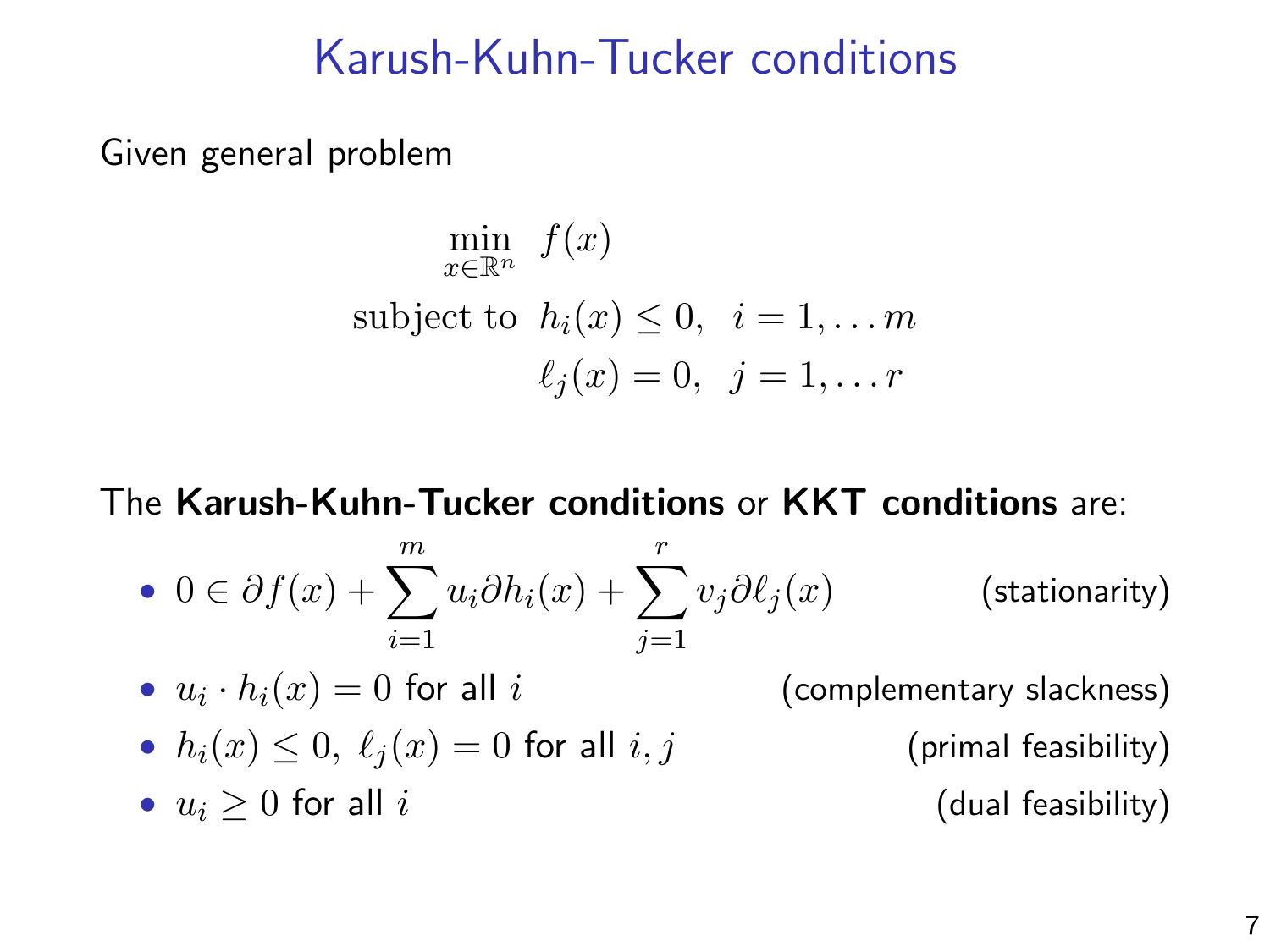## Karush-Kuhn-Tucker conditions

Given general problem

$$
\min_{x \in \mathbb{R}^n} f(x)
$$
  
subject to  $h_i(x) \le 0, \quad i = 1, \dots m$   

$$
\ell_j(x) = 0, \quad j = 1, \dots r
$$

The Karush-Kuhn-Tucker conditions or KKT conditions are:

• 
$$
0 \in \partial f(x) + \sum_{i=1}^{m} u_i \partial h_i(x) + \sum_{j=1}^{r} v_j \partial \ell_j(x)
$$
 (stationarity)

•  $u_i \cdot h_i(x) = 0$  for all i (complementary slackness)

• 
$$
h_i(x) \leq 0
$$
,  $\ell_j(x) = 0$  for all  $i, j$ 

•  $u_i > 0$  for all i (dual feasibility)

(primal feasibility)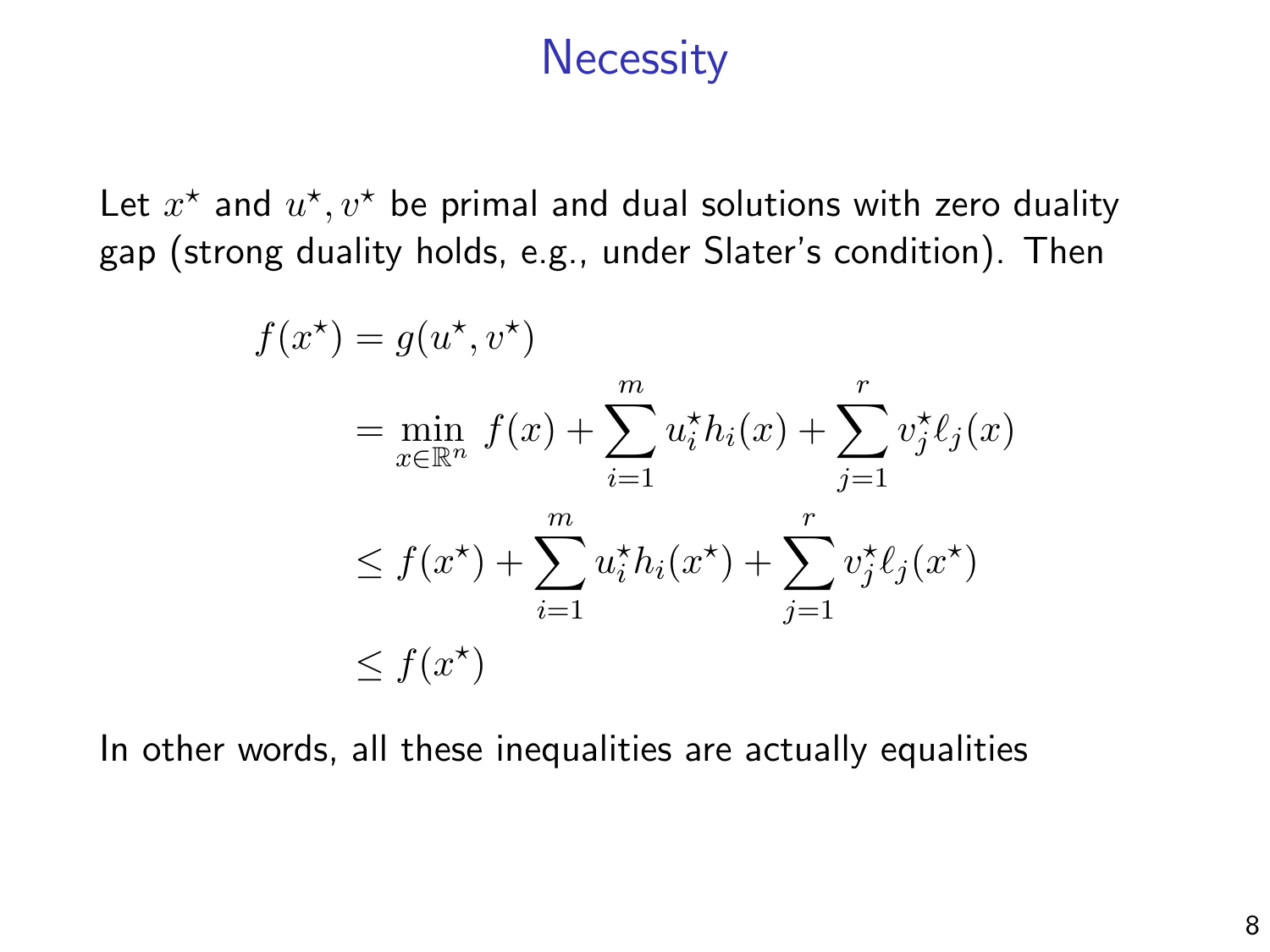#### **Necessity**

Let  $x^*$  and  $u^*, v^*$  be primal and dual solutions with zero duality gap (strong duality holds, e.g., under Slater's condition). Then

$$
f(x^*) = g(u^*, v^*)
$$
  
= 
$$
\min_{x \in \mathbb{R}^n} f(x) + \sum_{i=1}^m u_i^* h_i(x) + \sum_{j=1}^r v_j^* \ell_j(x)
$$
  

$$
\leq f(x^*) + \sum_{i=1}^m u_i^* h_i(x^*) + \sum_{j=1}^r v_j^* \ell_j(x^*)
$$
  

$$
\leq f(x^*)
$$

In other words, all these inequalities are actually equalities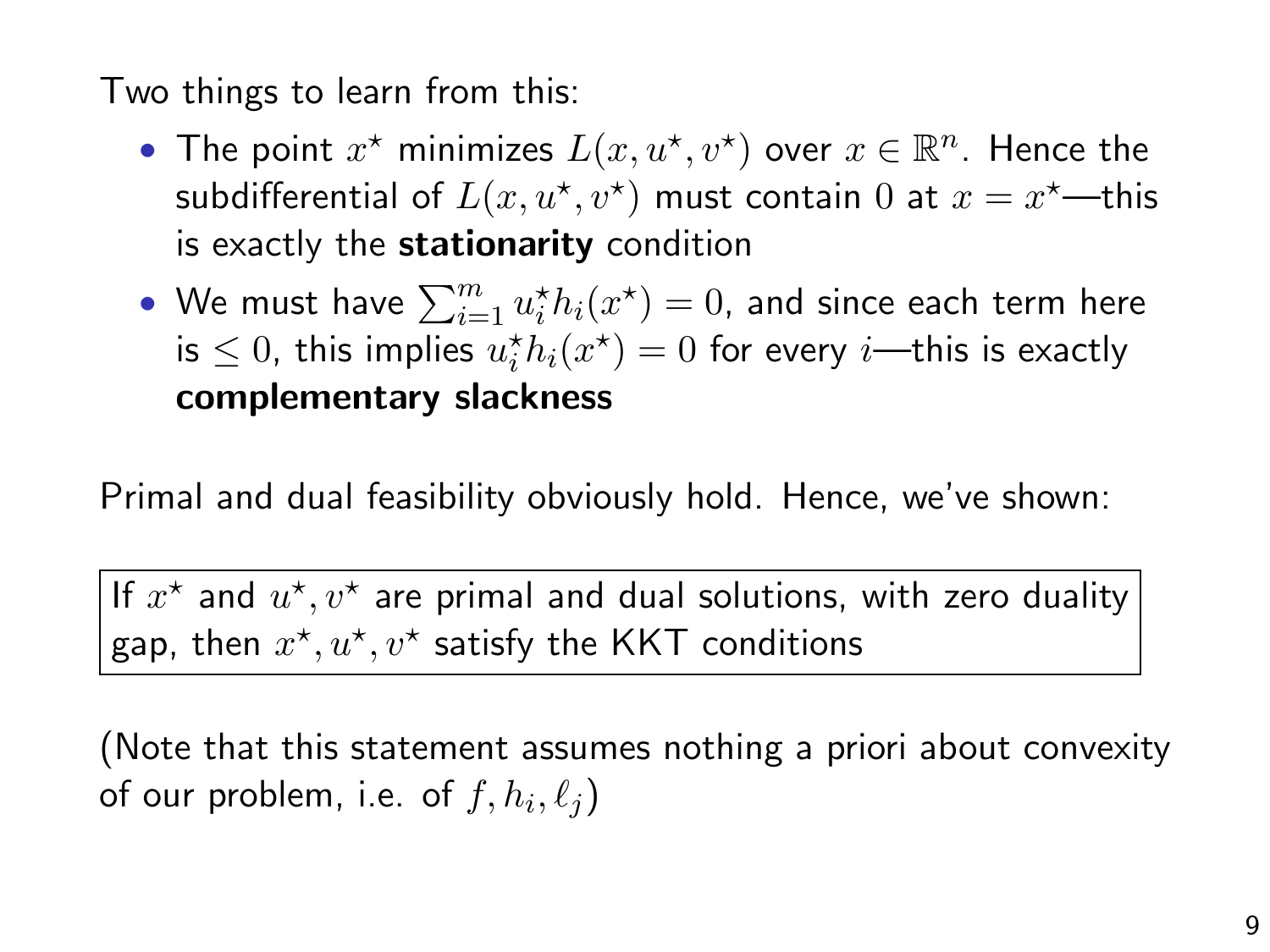Two things to learn from this:

- The point  $x^*$  minimizes  $L(x, u^*, v^*)$  over  $x \in \mathbb{R}^n$ . Hence the subdifferential of  $L(x,u^{\star},v^{\star})$  must contain  $0$  at  $x=x^{\star}$ —this is exactly the **stationarity** condition
- $\bullet\,$  We must have  $\sum_{i=1}^m u_i^\star h_i(x^\star) = 0$ , and since each term here is  $\leq 0$ , this implies  $u_i^*h_i(x^*) = 0$  for every *i*—this is exactly complementary slackness

Primal and dual feasibility obviously hold. Hence, we've shown:

If  $x^{\star}$  and  $u^{\star}, v^{\star}$  are primal and dual solutions, with zero duality gap, then  $x^{\star}, u^{\star}, v^{\star}$  satisfy the KKT conditions

(Note that this statement assumes nothing a priori about convexity of our problem, i.e. of  $f,h_i,\ell_j)$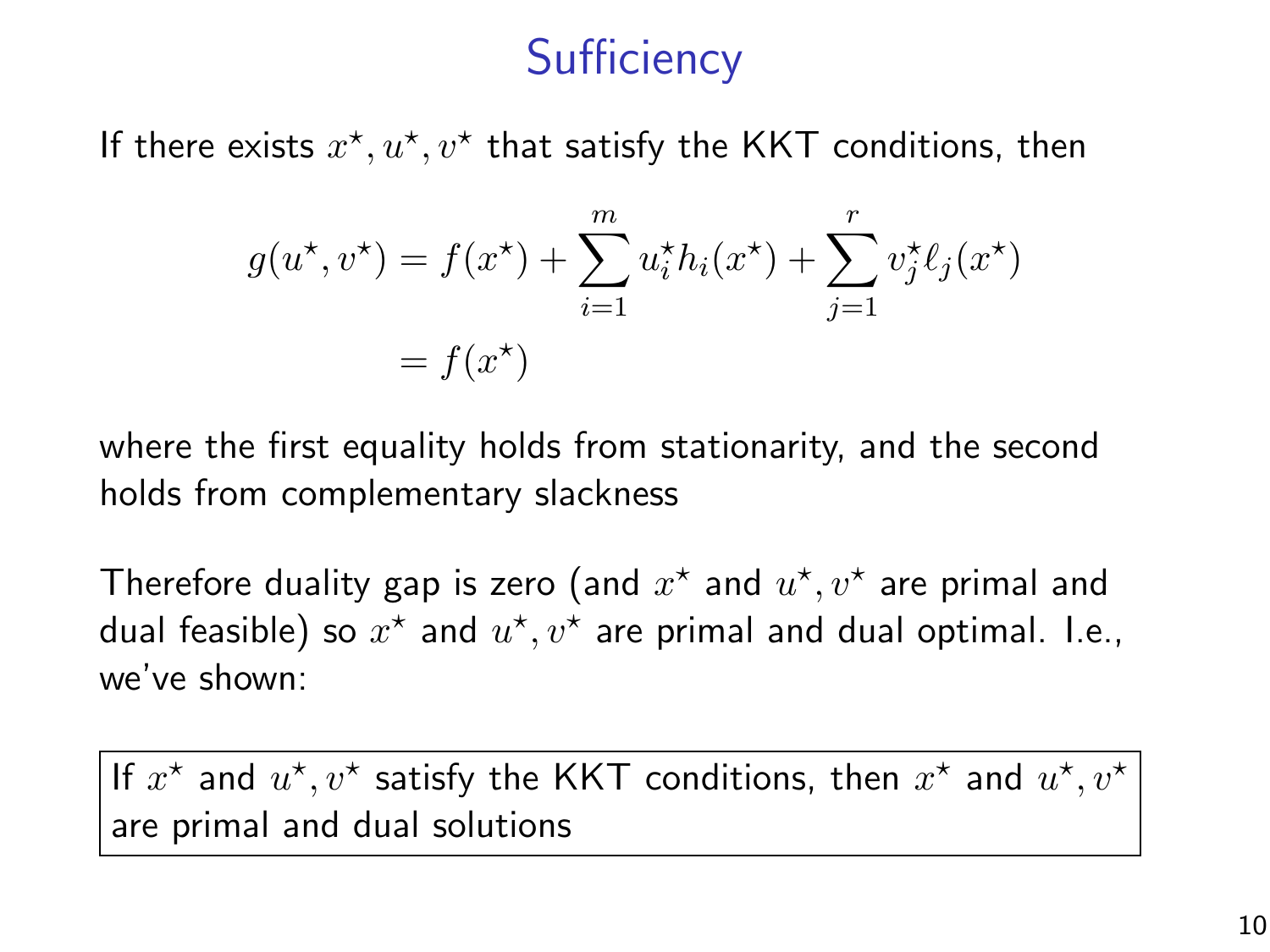# **Sufficiency**

If there exists  $x^*, u^*, v^*$  that satisfy the KKT conditions, then

$$
g(u^*, v^*) = f(x^*) + \sum_{i=1}^m u_i^* h_i(x^*) + \sum_{j=1}^r v_j^* \ell_j(x^*)
$$
  
=  $f(x^*)$ 

where the first equality holds from stationarity, and the second holds from complementary slackness

Therefore duality gap is zero (and  $x^\star$  and  $u^\star,v^\star$  are primal and dual feasible) so  $x^\star$  and  $u^\star,v^\star$  are primal and dual optimal. I.e., we've shown:

If  $x^*$  and  $u^*, v^*$  satisfy the KKT conditions, then  $x^*$  and  $u^*, v^*$ are primal and dual solutions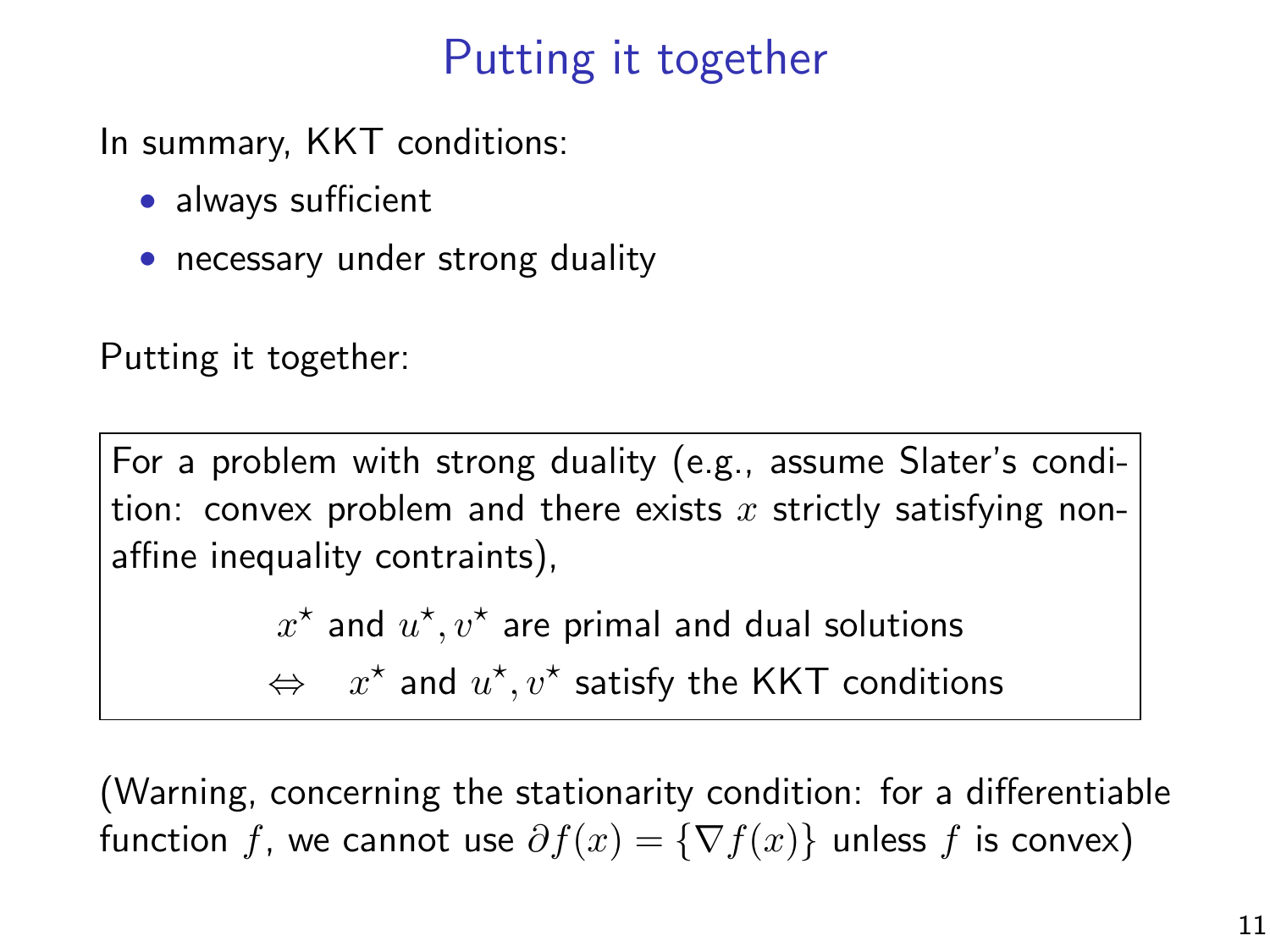# Putting it together

In summary, KKT conditions:

- always sufficient
- necessary under strong duality

Putting it together:

For a problem with strong duality (e.g., assume Slater's condition: convex problem and there exists  $x$  strictly satisfying nonaffine inequality contraints),

 $x^\star$  and  $u^\star,v^\star$  are primal and dual solutions

⇔  $x^*$  and  $u^*, v^*$  satisfy the KKT conditions

(Warning, concerning the stationarity condition: for a differentiable function f, we cannot use  $\partial f(x) = \{\nabla f(x)\}\$ unless f is convex)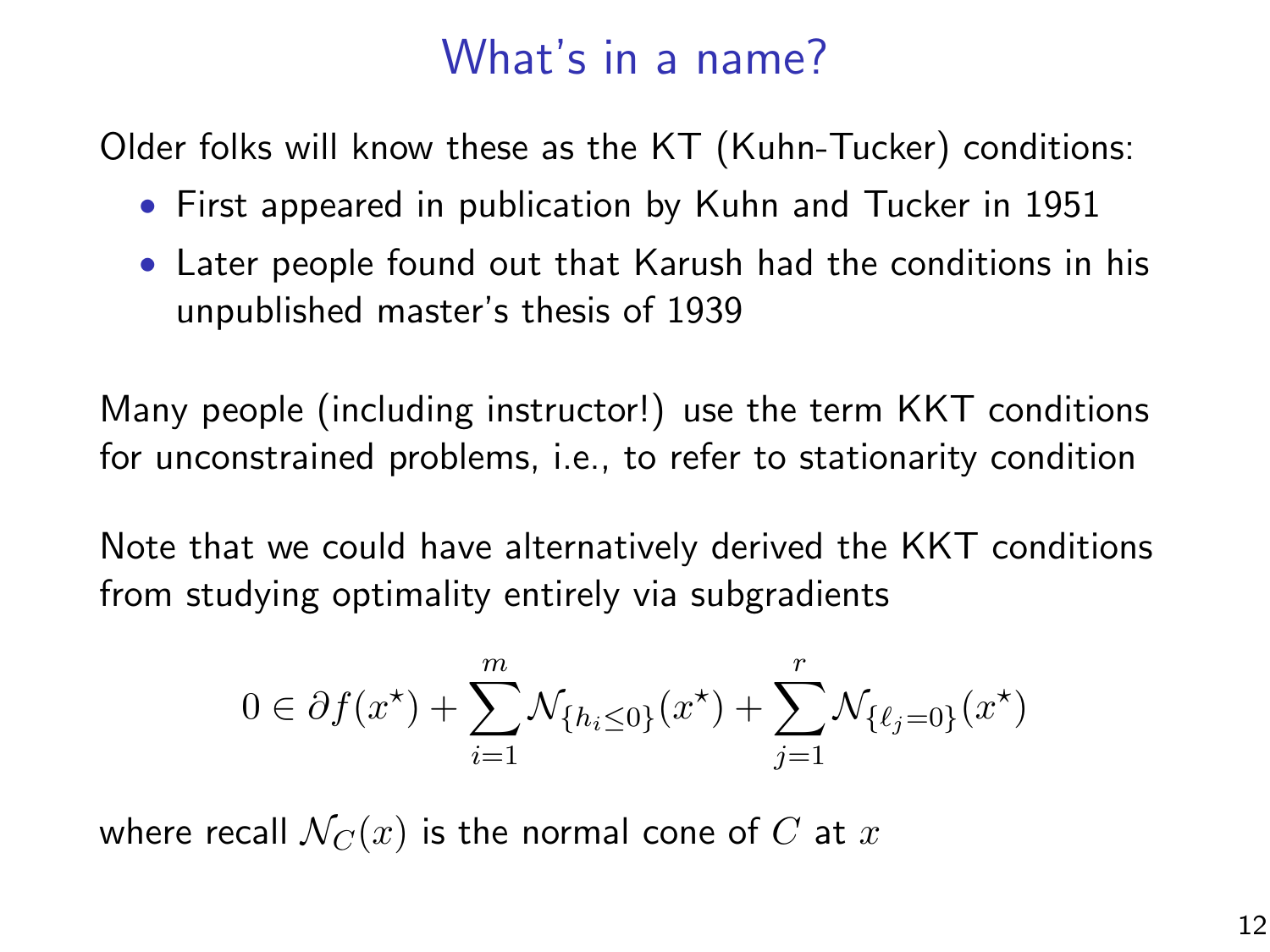## What's in a name?

Older folks will know these as the KT (Kuhn-Tucker) conditions:

- First appeared in publication by Kuhn and Tucker in 1951
- Later people found out that Karush had the conditions in his unpublished master's thesis of 1939

Many people (including instructor!) use the term KKT conditions for unconstrained problems, i.e., to refer to stationarity condition

Note that we could have alternatively derived the KKT conditions from studying optimality entirely via subgradients

$$
0 \in \partial f(x^*) + \sum_{i=1}^m \mathcal{N}_{\{h_i \le 0\}}(x^*) + \sum_{j=1}^r \mathcal{N}_{\{\ell_j = 0\}}(x^*)
$$

where recall  $\mathcal{N}_C(x)$  is the normal cone of C at x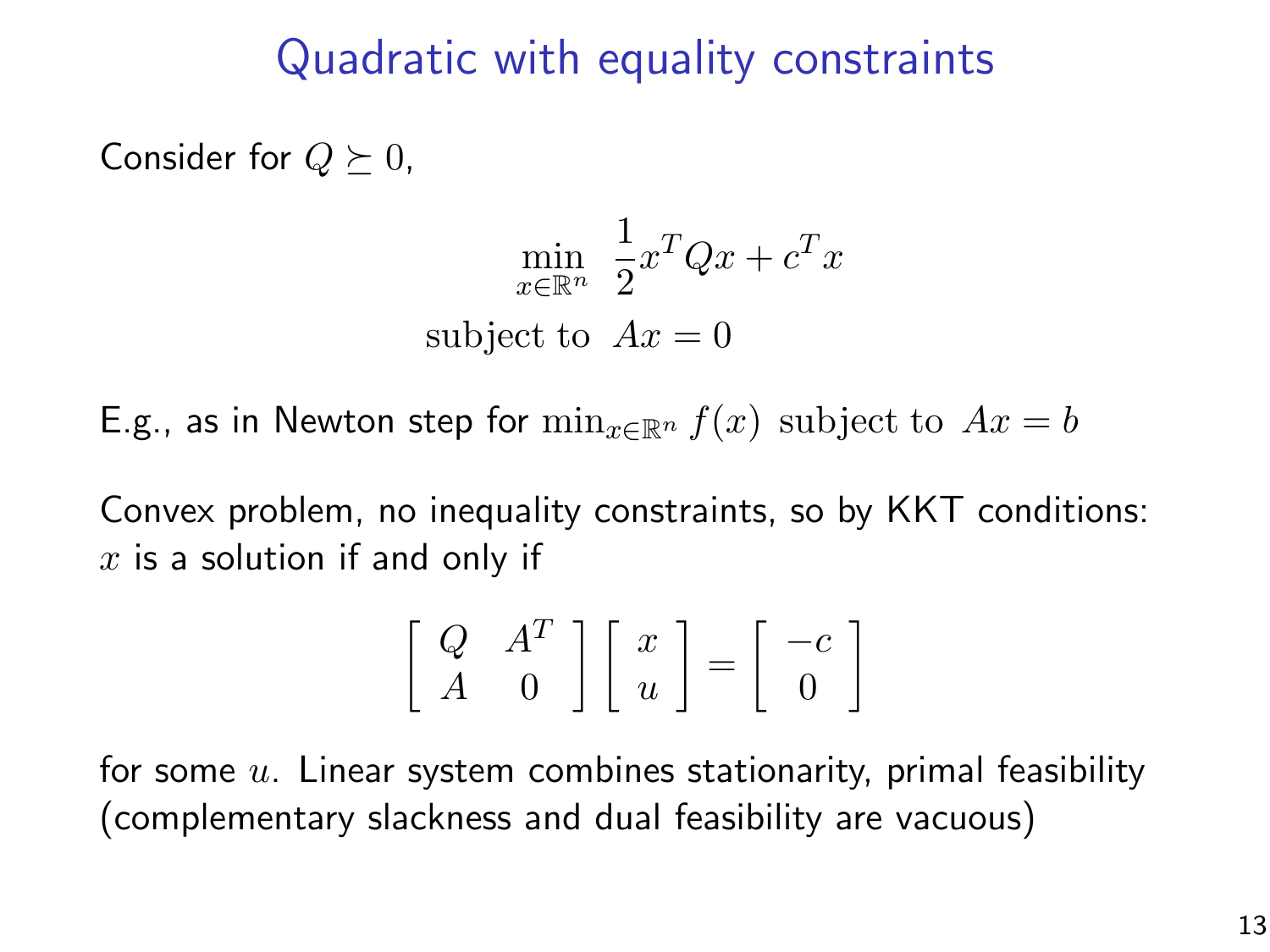### Quadratic with equality constraints

Consider for  $Q \succeq 0$ ,

$$
\min_{x \in \mathbb{R}^n} \frac{1}{2} x^T Q x + c^T x
$$
  
subject to  $Ax = 0$ 

E.g., as in Newton step for  $\min_{x \in \mathbb{R}^n} f(x)$  subject to  $Ax = b$ 

Convex problem, no inequality constraints, so by KKT conditions:  $x$  is a solution if and only if

$$
\left[\begin{array}{cc} Q & A^T \\ A & 0 \end{array}\right] \left[\begin{array}{c} x \\ u \end{array}\right] = \left[\begin{array}{c} -c \\ 0 \end{array}\right]
$$

for some  $u$ . Linear system combines stationarity, primal feasibility (complementary slackness and dual feasibility are vacuous)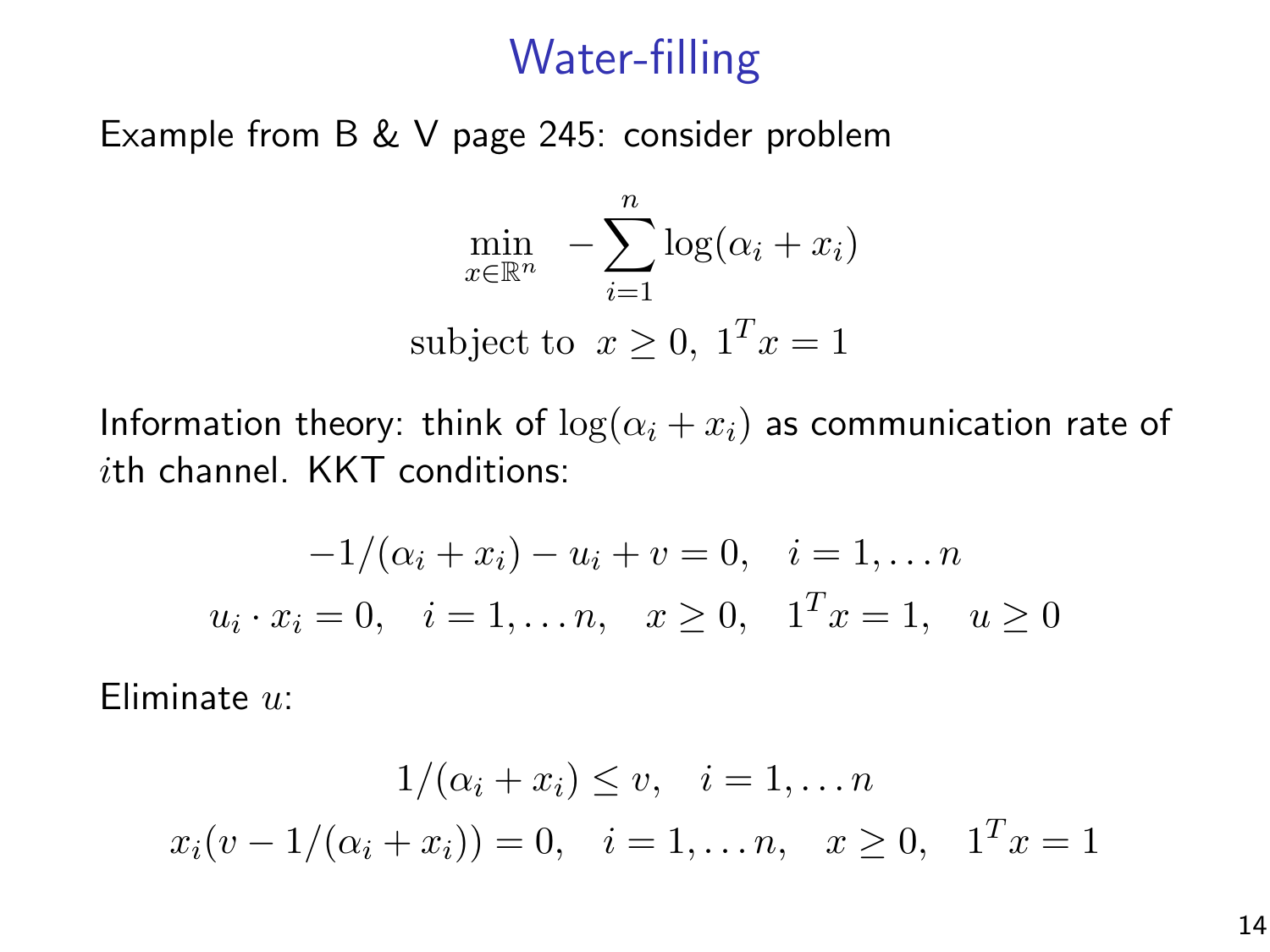## Water-filling

Example from B & V page 245: consider problem

$$
\min_{x \in \mathbb{R}^n} - \sum_{i=1}^n \log(\alpha_i + x_i)
$$
  
subject to  $x \ge 0$ ,  $1^T x = 1$ 

Information theory: think of  $\log(\alpha_i + x_i)$  as communication rate of ith channel. KKT conditions:

$$
-1/(\alpha_i + x_i) - u_i + v = 0, \quad i = 1, \dots n
$$
  

$$
u_i \cdot x_i = 0, \quad i = 1, \dots n, \quad x \ge 0, \quad 1^T x = 1, \quad u \ge 0
$$

Eliminate u:

$$
1/(\alpha_i + x_i) \le v, \quad i = 1, \dots n
$$
  

$$
x_i(v - 1/(\alpha_i + x_i)) = 0, \quad i = 1, \dots n, \quad x \ge 0, \quad 1^T x = 1
$$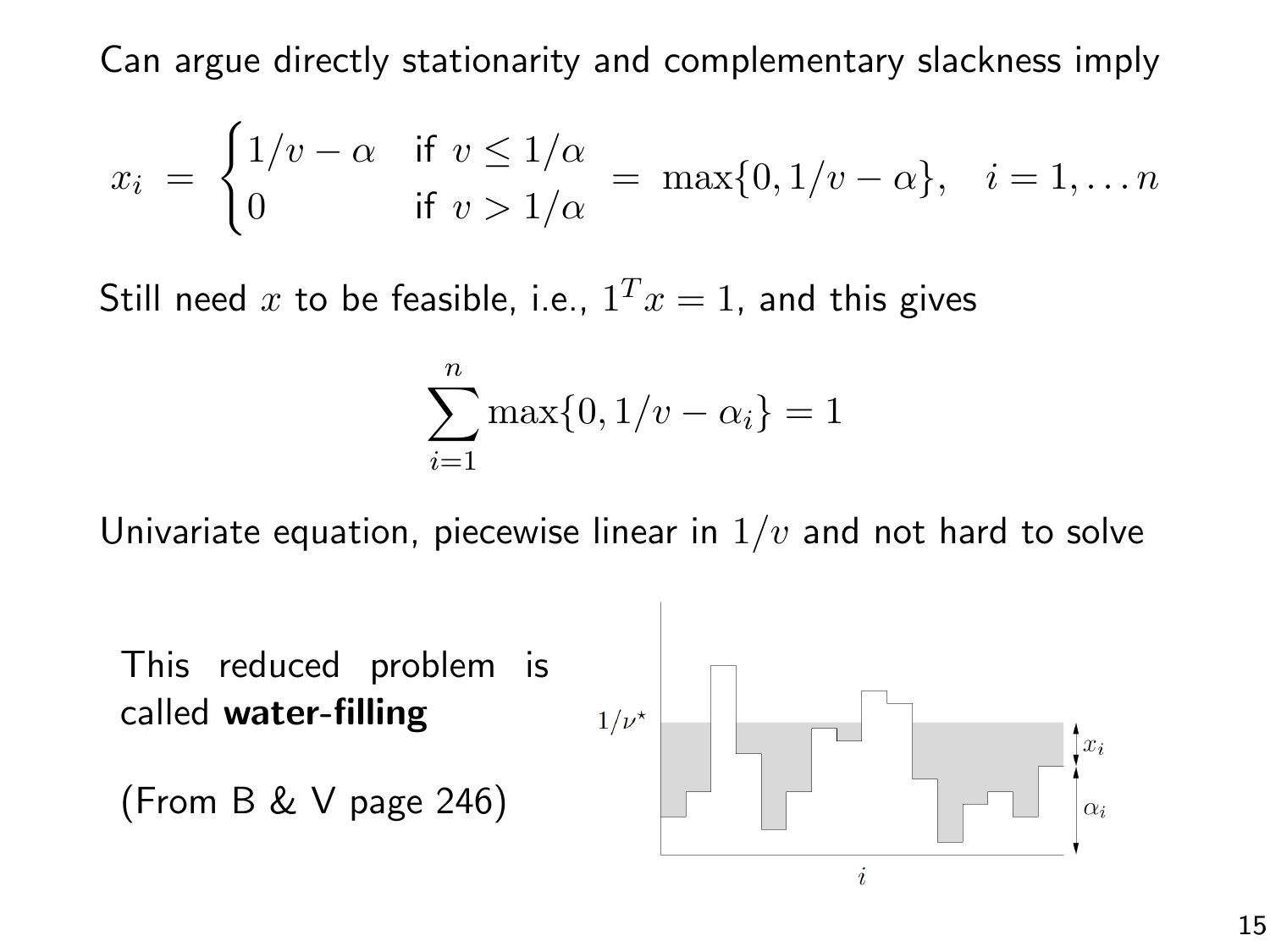Can argue directly stationarity and complementary slackness imply

$$
x_i = \begin{cases} 1/v - \alpha & \text{if } v \le 1/\alpha \\ 0 & \text{if } v > 1/\alpha \end{cases} = \max\{0, 1/v - \alpha\}, \quad i = 1, \dots n
$$

Still need  $x$  to be feasible, i.e.,  $1^Tx=1$ , and this gives

$$
\sum_{i=1}^{n} \max\{0, 1/v - \alpha_i\} = 1
$$

Univariate equation, piecewise linear in  $1/v$  and not hard to solve

This reduced problem is called water-filling

$$
(From B & V page 246)
$$

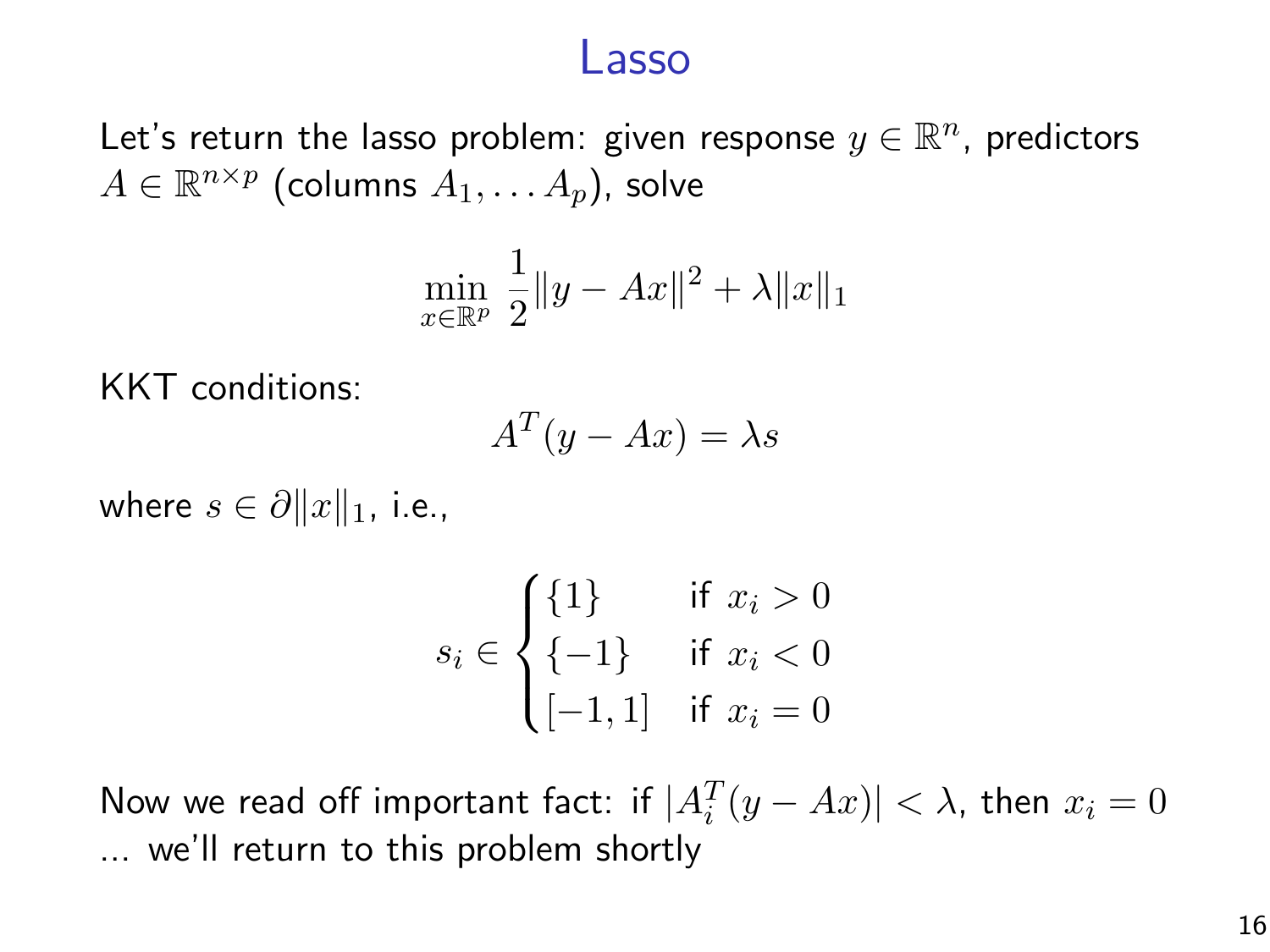#### Lasso

Let's return the lasso problem: given response  $y\in\mathbb{R}^n$ , predictors  $A \in \mathbb{R}^{n \times p}$  (columns  $A_1, \ldots A_p$ ), solve

$$
\min_{x \in \mathbb{R}^p} \frac{1}{2} \|y - Ax\|^2 + \lambda \|x\|_1
$$

KKT conditions:

$$
A^T(y - Ax) = \lambda s
$$

where  $s \in \partial ||x||_1$ , i.e.,

$$
s_i \in \begin{cases} \{1\} & \text{if } x_i > 0\\ \{-1\} & \text{if } x_i < 0\\ [-1, 1] & \text{if } x_i = 0 \end{cases}
$$

Now we read off important fact: if  $|A_i^T(y - Ax)| < \lambda$ , then  $x_i = 0$ ... we'll return to this problem shortly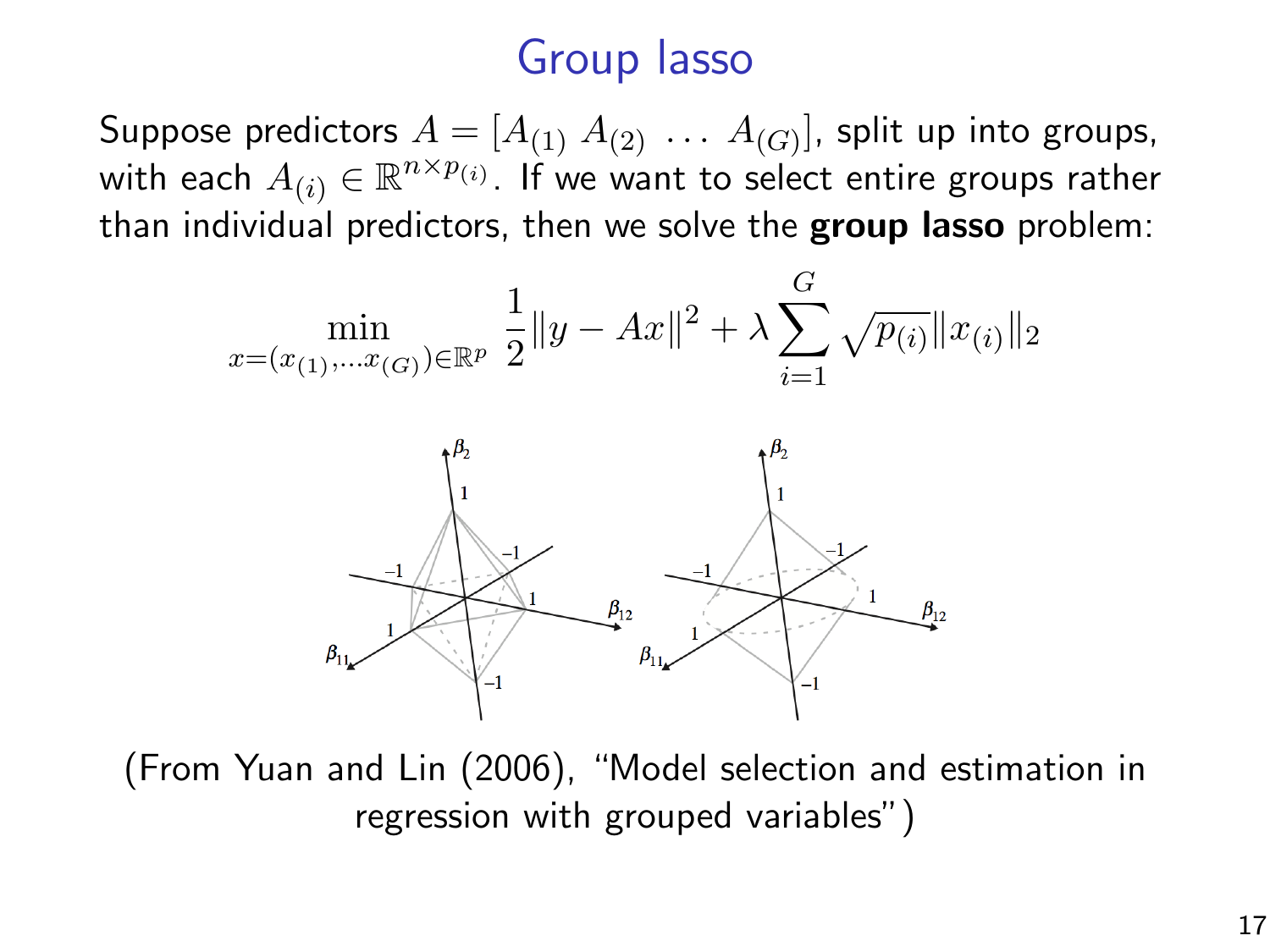# Group lasso

Suppose predictors  $A=[A_{(1)}\; A_{(2)}\; \dots \; A_{(G)}]$ , split up into groups, with each  $A_{(i)} \in \mathbb{R}^{n \times p_{(i)}}.$  If we want to select entire groups rather than individual predictors, then we solve the **group lasso** problem:



(From Yuan and Lin (2006), "Model selection and estimation in regression with grouped variables")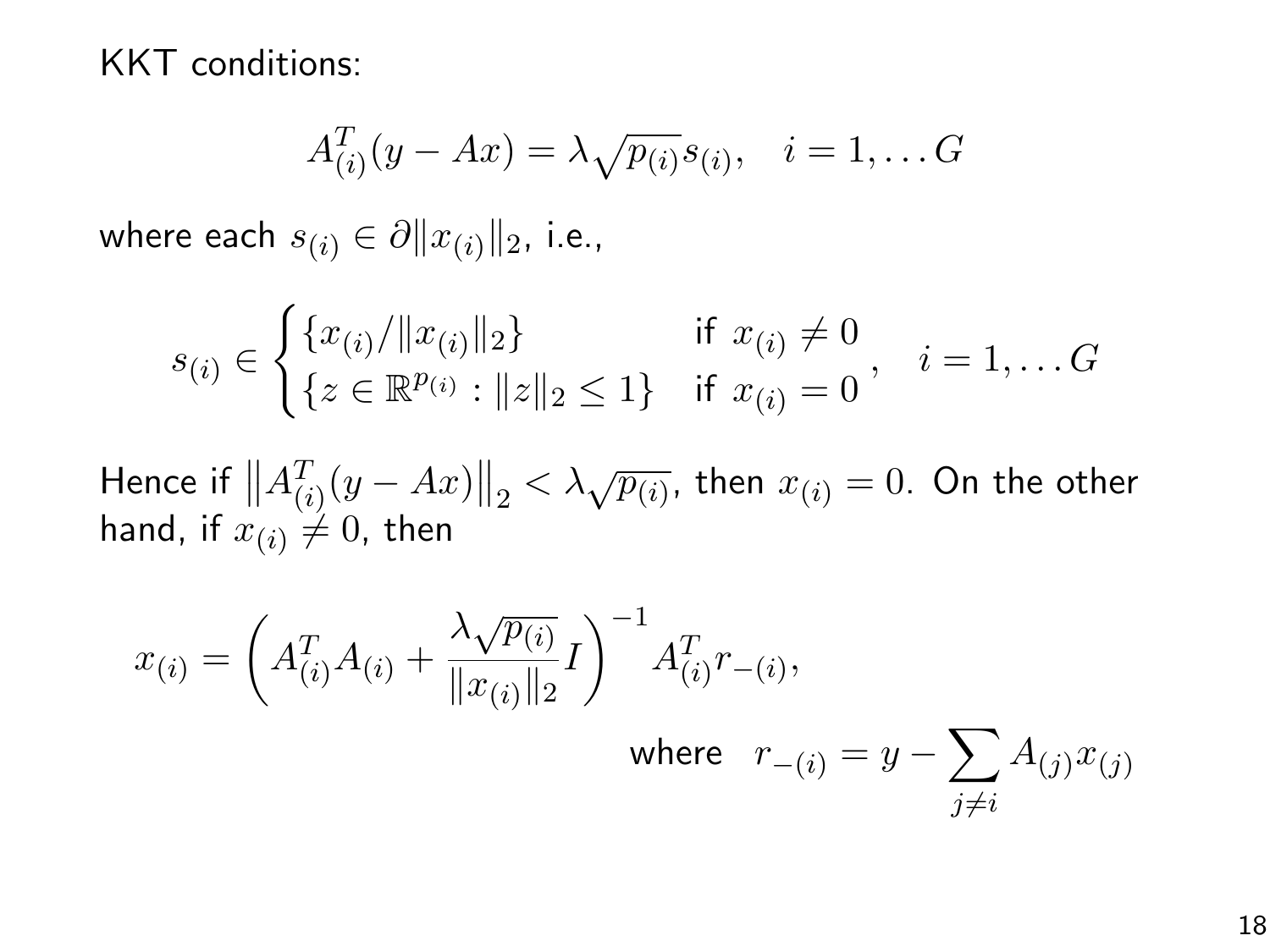KKT conditions:

$$
A_{(i)}^T(y - Ax) = \lambda \sqrt{p_{(i)}} s_{(i)}, \quad i = 1, \dots G
$$

where each  $s_{(i)} \in \partial ||x_{(i)}||_2$ , i.e.,

$$
s_{(i)} \in \begin{cases} \{x_{(i)}/\|x_{(i)}\|_2\} & \text{if } x_{(i)} \neq 0\\ \{z \in \mathbb{R}^{p_{(i)}} : \|z\|_2 \leq 1\} & \text{if } x_{(i)} = 0 \end{cases}, i = 1, \dots G
$$

Hence if  $\left\|A^T_{(i)}(y - Ax)\right\|_2 < \lambda \sqrt{p_{(i)}}$ , then  $x_{(i)} = 0$ . On the other hand, if  $x_{(i)} \neq 0$ , then

$$
x_{(i)} = \left(A_{(i)}^T A_{(i)} + \frac{\lambda \sqrt{p_{(i)}}}{\|x_{(i)}\|_2} I\right)^{-1} A_{(i)}^T r_{-(i)},
$$
  
where  $r_{-(i)} = y - \sum_{j \neq i} A_{(j)} x_{(j)}$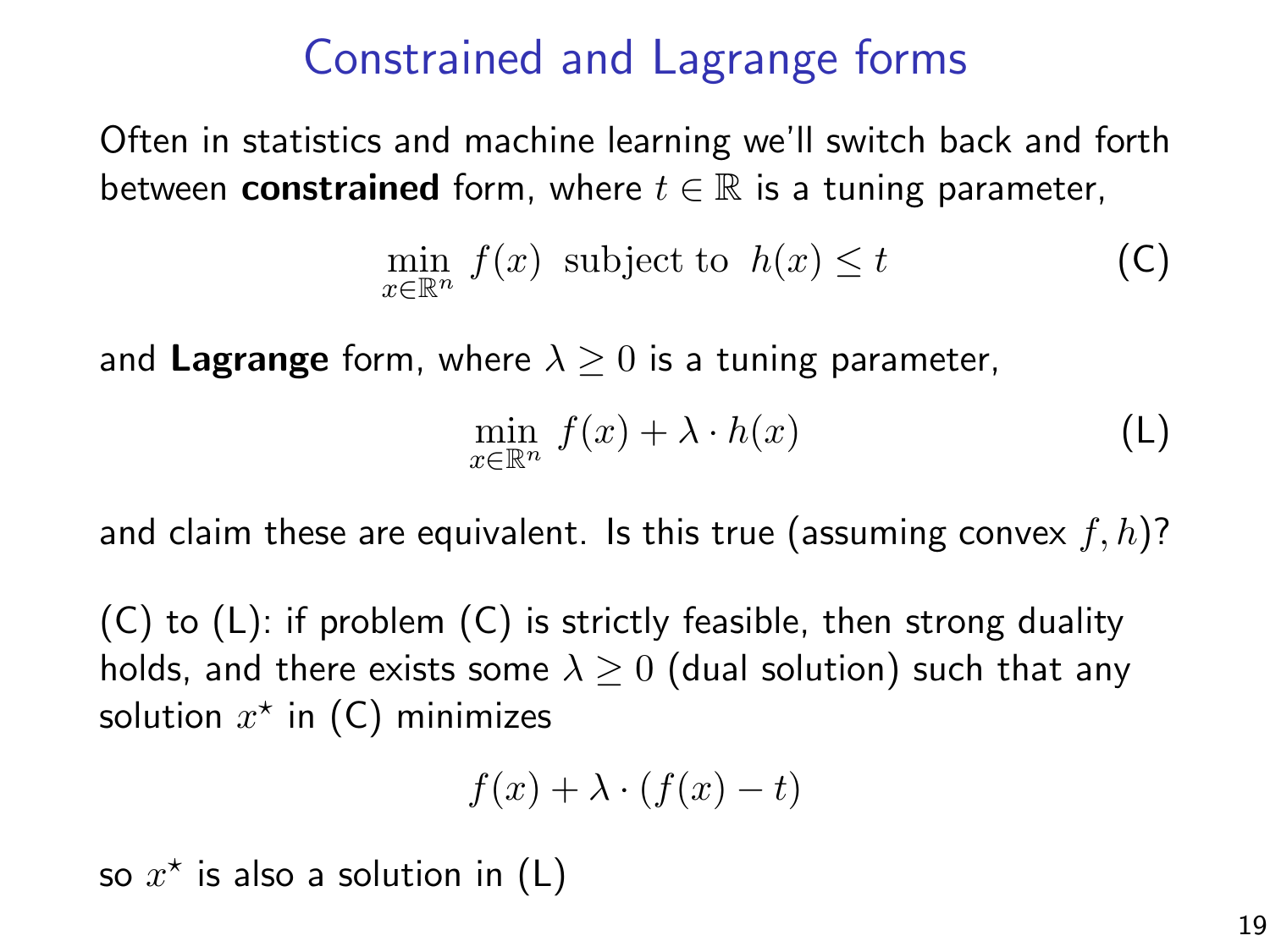# Constrained and Lagrange forms

Often in statistics and machine learning we'll switch back and forth between **constrained** form, where  $t \in \mathbb{R}$  is a tuning parameter,

$$
\min_{x \in \mathbb{R}^n} f(x) \text{ subject to } h(x) \le t \tag{C}
$$

and Lagrange form, where  $\lambda \geq 0$  is a tuning parameter,

$$
\min_{x \in \mathbb{R}^n} f(x) + \lambda \cdot h(x) \tag{L}
$$

and claim these are equivalent. Is this true (assuming convex  $f, h$ )?

(C) to (L): if problem (C) is strictly feasible, then strong duality holds, and there exists some  $\lambda \geq 0$  (dual solution) such that any solution  $x^*$  in (C) minimizes

$$
f(x) + \lambda \cdot (f(x) - t)
$$

so  $x^*$  is also a solution in (L)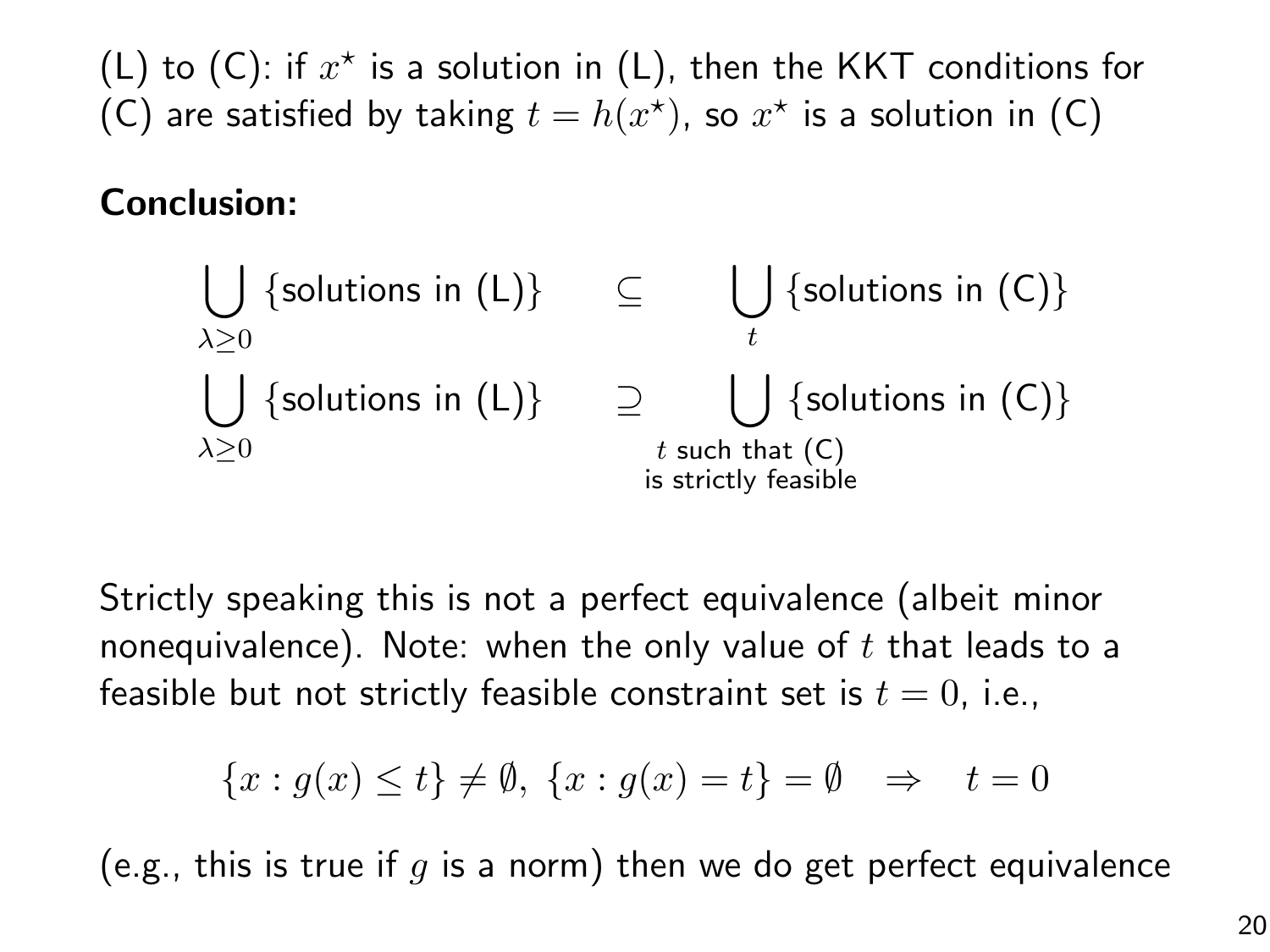(L) to (C): if  $x^*$  is a solution in (L), then the KKT conditions for (C) are satisfied by taking  $t = h(x^*)$ , so  $x^*$  is a solution in (C)

#### Conclusion:

| \n $\bigcup_{\lambda \geq 0}$ \n                                      | \n $\{\text{solutions in (L)}\}\$ \n | \n $\bigcup_{t}$ \n | \n $\{\text{solutions in (C)}\}$ \n |
|-----------------------------------------------------------------------|--------------------------------------|---------------------|-------------------------------------|
| \n $\bigcup_{\lambda \geq 0}$ \n                                      | \n $\{\text{solutions in (C)}\}$ \n  |                     |                                     |
| \n $\bigcup_{t \text{ such that (C)}} \{\text{solutions in (C)}\}$ \n |                                      |                     |                                     |
| \n $\text{is strictly feasible}$ \n                                   |                                      |                     |                                     |

Strictly speaking this is not a perfect equivalence (albeit minor nonequivalence). Note: when the only value of  $t$  that leads to a feasible but not strictly feasible constraint set is  $t = 0$ , i.e.,

$$
\{x: g(x) \le t\} \ne \emptyset, \{x: g(x) = t\} = \emptyset \Rightarrow t = 0
$$

(e.g., this is true if  $q$  is a norm) then we do get perfect equivalence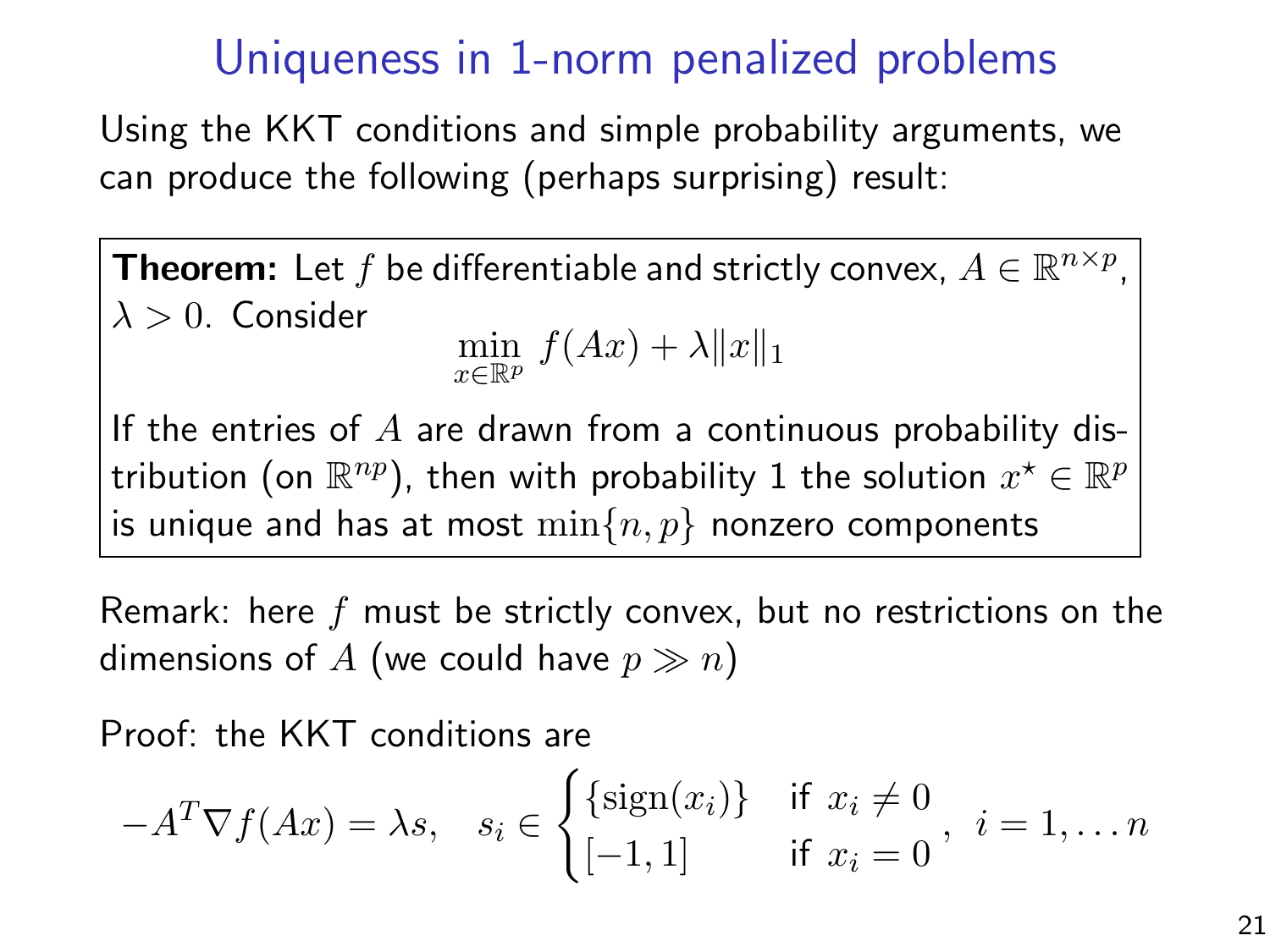## Uniqueness in 1-norm penalized problems

Using the KKT conditions and simple probability arguments, we can produce the following (perhaps surprising) result:

**Theorem:** Let f be differentiable and strictly convex,  $A \in \mathbb{R}^{n \times p}$ ,  $\lambda > 0$ . Consider

$$
\min_{x \in \mathbb{R}^p} f(Ax) + \lambda \|x\|_1
$$

If the entries of  $A$  are drawn from a continuous probability distribution (on  $\mathbb{R}^{np}$ ), then with probability 1 the solution  $x^\star \in \mathbb{R}^{p}$ is unique and has at most  $\min\{n, p\}$  nonzero components

Remark: here f must be strictly convex, but no restrictions on the dimensions of A (we could have  $p \gg n$ )

Proof: the KKT conditions are

$$
-A^T \nabla f(Ax) = \lambda s, \quad s_i \in \begin{cases} \{\text{sign}(x_i)\} & \text{if } x_i \neq 0 \\ [-1,1] & \text{if } x_i = 0 \end{cases}, \quad i = 1, \dots n
$$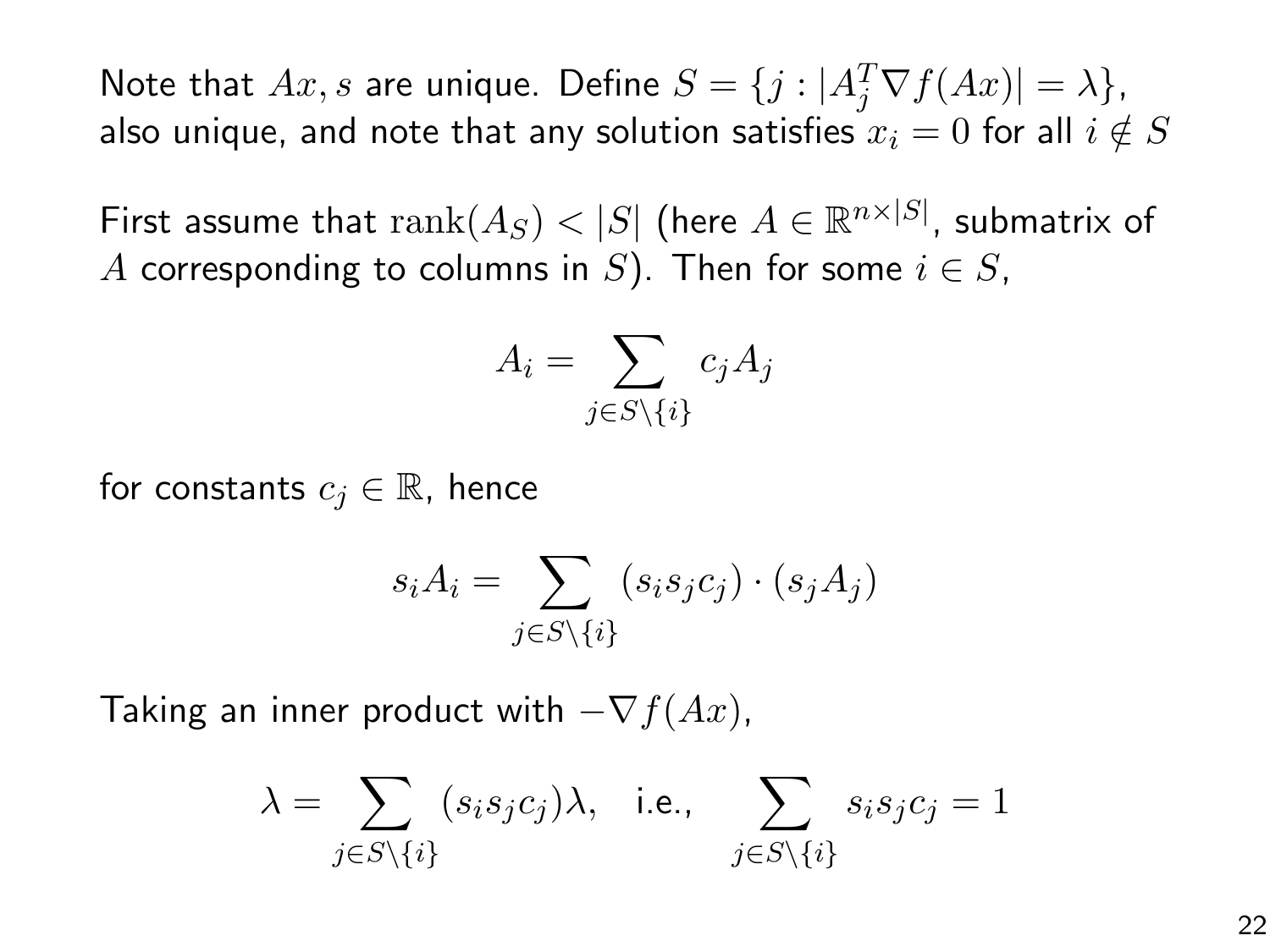Note that  $Ax, s$  are unique. Define  $S = \{j : |A_j^T \nabla f(Ax)| = \lambda\},$ also unique, and note that any solution satisfies  $x_i = 0$  for all  $i \notin S$ 

First assume that  $\mathrm{rank}(A_S) < |S|$  (here  $A \in \mathbb{R}^{n \times |S|}$ , submatrix of A corresponding to columns in S). Then for some  $i \in S$ ,

$$
A_i = \sum_{j \in S \setminus \{i\}} c_j A_j
$$

for constants  $c_i \in \mathbb{R}$ , hence

$$
s_i A_i = \sum_{j \in S \setminus \{i\}} (s_i s_j c_j) \cdot (s_j A_j)
$$

Taking an inner product with  $-\nabla f(Ax)$ ,

$$
\lambda = \sum_{j \in S\backslash \{i\}} (s_i s_j c_j) \lambda, \quad \text{i.e.,}\quad \sum_{j \in S\backslash \{i\}} s_i s_j c_j = 1
$$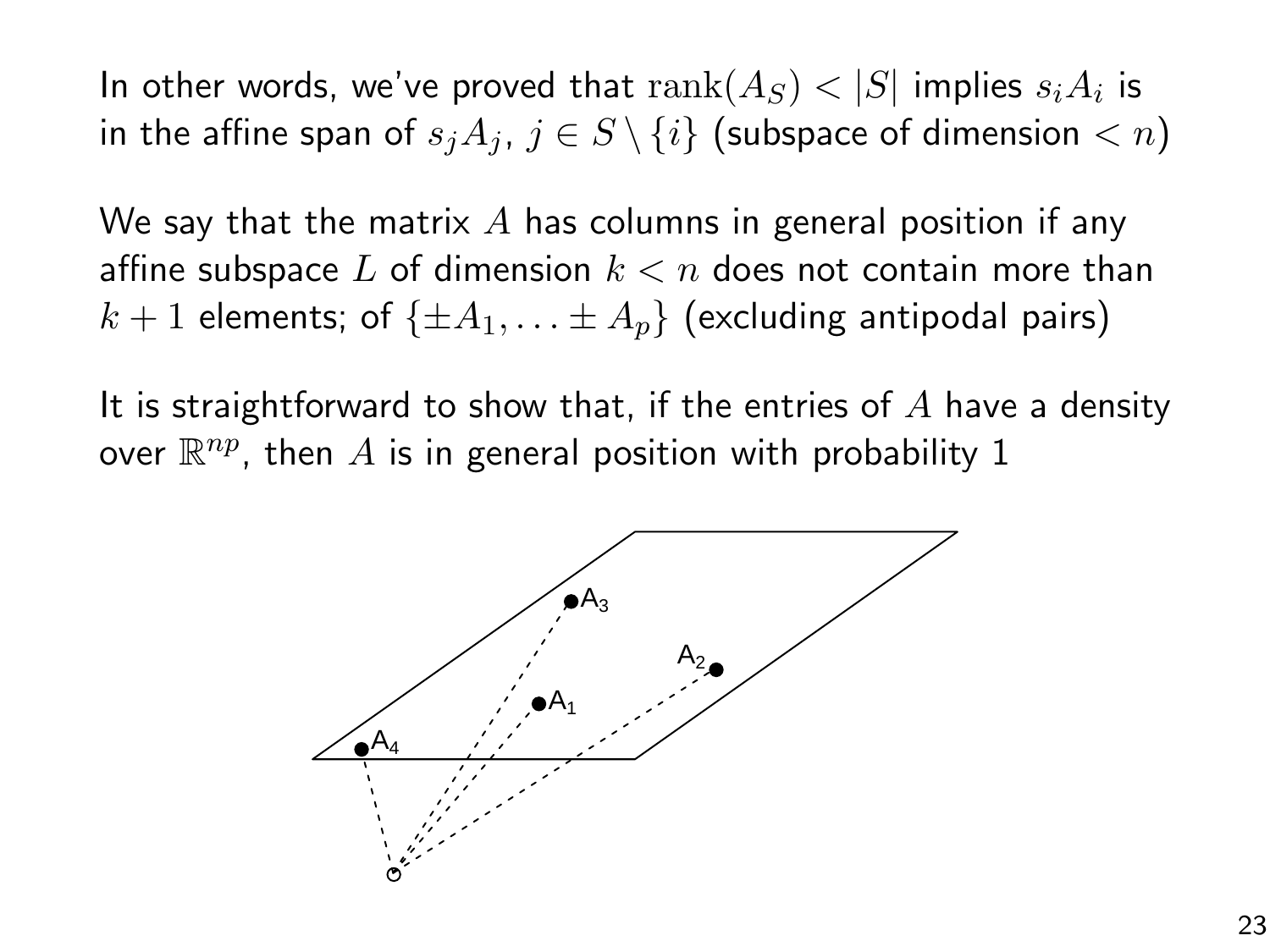In other words, we've proved that  $\mathrm{rank}(A_S) < |S|$  implies  $s_iA_i$  is in the affine span of  $s_iA_j$ ,  $j \in S \setminus \{i\}$  (subspace of dimension  $\langle n \rangle$ )

We say that the matrix  $A$  has columns in general position if any affine subspace L of dimension  $k < n$  does not contain more than  $k+1$  elements; of  $\{\pm A_1, \ldots \pm A_n\}$  (excluding antipodal pairs)

It is straightforward to show that, if the entries of  $A$  have a density over  $\mathbb{R}^{np}$ , then  $A$  is in general position with probability  $1$ 

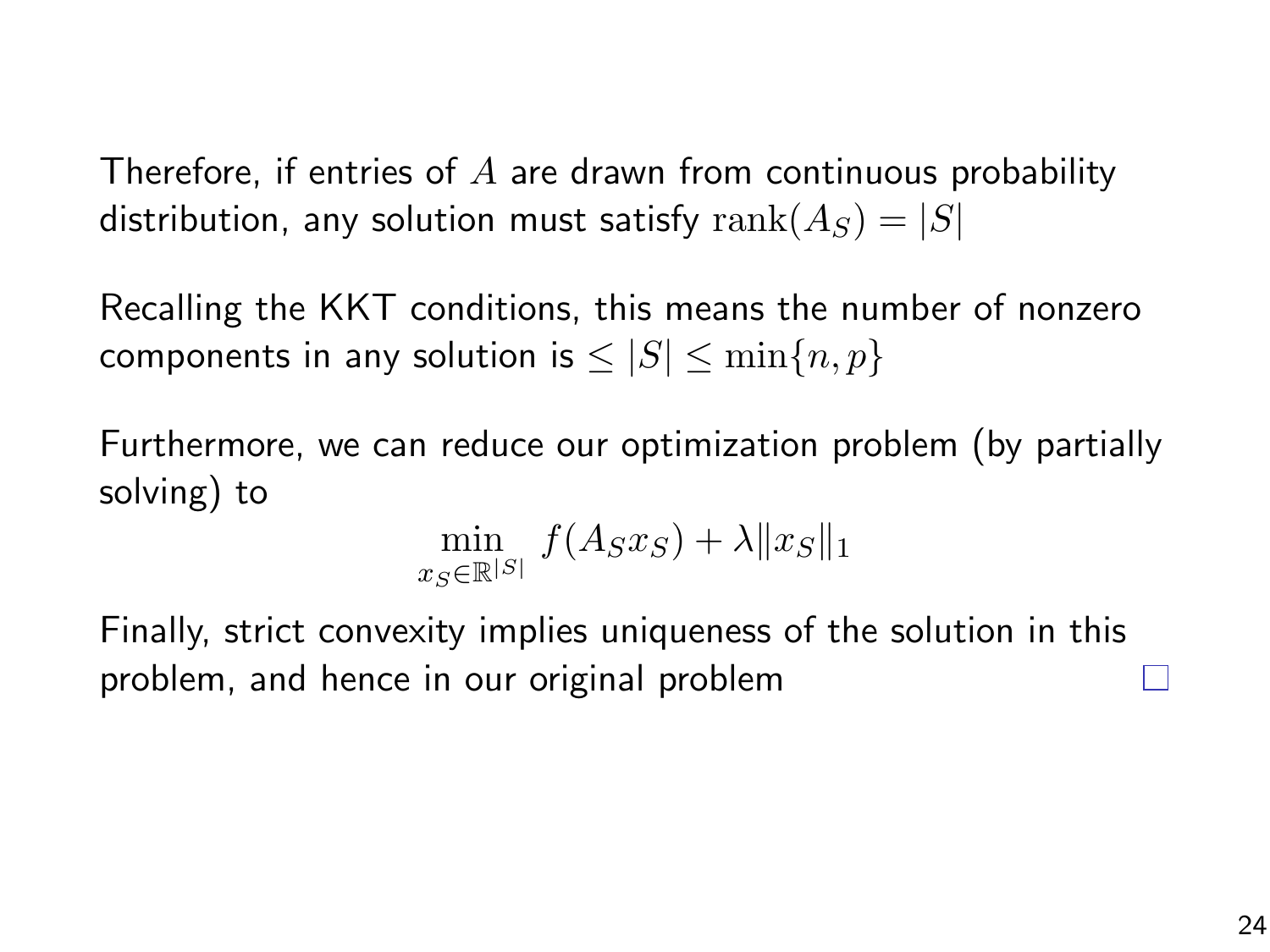Therefore, if entries of  $A$  are drawn from continuous probability distribution, any solution must satisfy  $rank(A_S) = |S|$ 

Recalling the KKT conditions, this means the number of nonzero components in any solution is  $\leq |S| \leq \min\{n, p\}$ 

Furthermore, we can reduce our optimization problem (by partially solving) to

$$
\min_{x_S \in \mathbb{R}^{|S|}} f(A_S x_S) + \lambda \|x_S\|_1
$$

Finally, strict convexity implies uniqueness of the solution in this problem, and hence in our original problem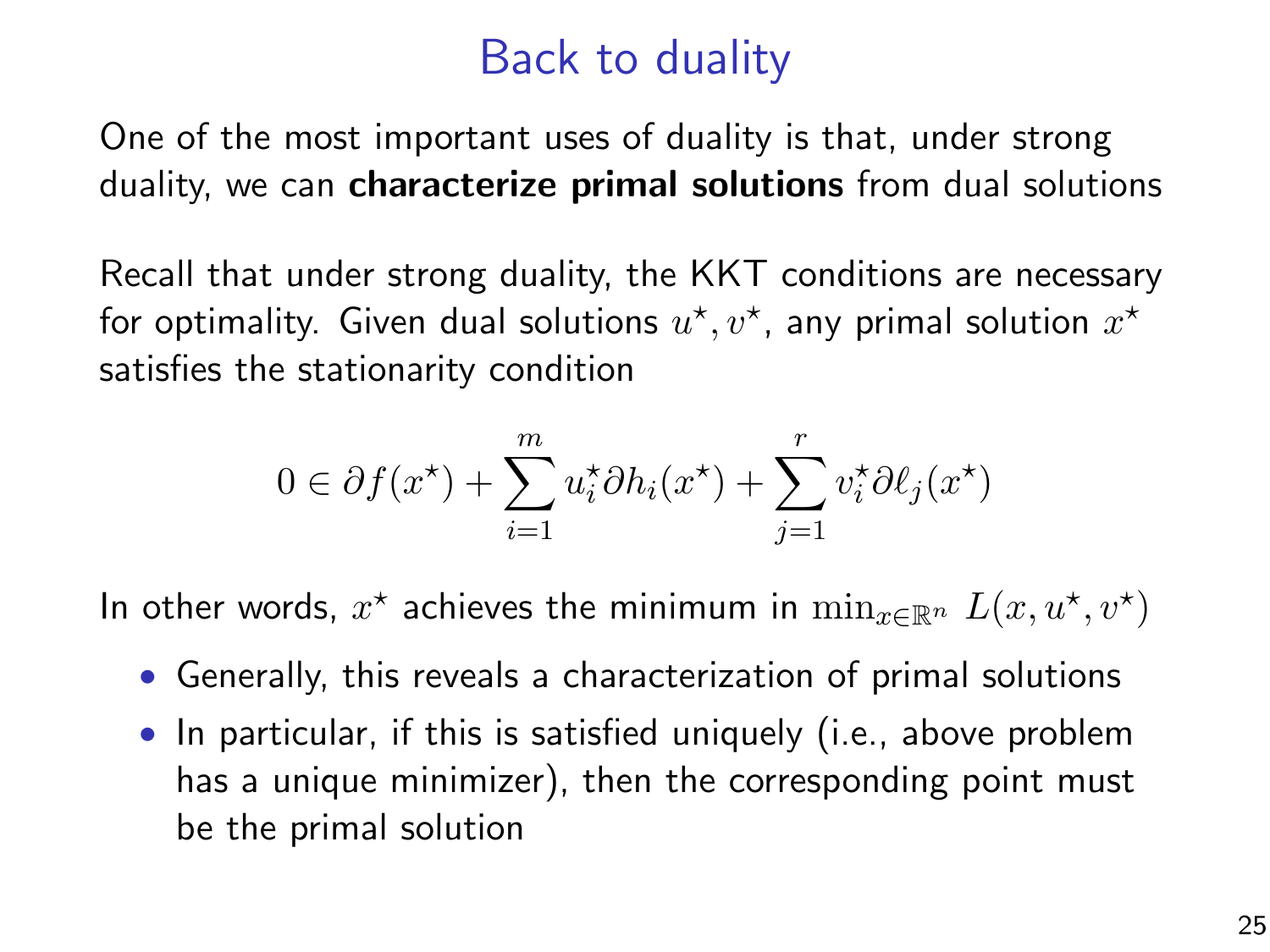# Back to duality

One of the most important uses of duality is that, under strong duality, we can **characterize primal solutions** from dual solutions

Recall that under strong duality, the KKT conditions are necessary for optimality. Given dual solutions  $u^\star,v^\star$ , any primal solution  $x^\star$ satisfies the stationarity condition

$$
0 \in \partial f(x^*) + \sum_{i=1}^m u_i^* \partial h_i(x^*) + \sum_{j=1}^r v_i^* \partial \ell_j(x^*)
$$

In other words,  $x^*$  achieves the minimum in  $\min_{x \in \mathbb{R}^n} L(x, u^*, v^*)$ 

- Generally, this reveals a characterization of primal solutions
- In particular, if this is satisfied uniquely (i.e., above problem has a unique minimizer), then the corresponding point must be the primal solution